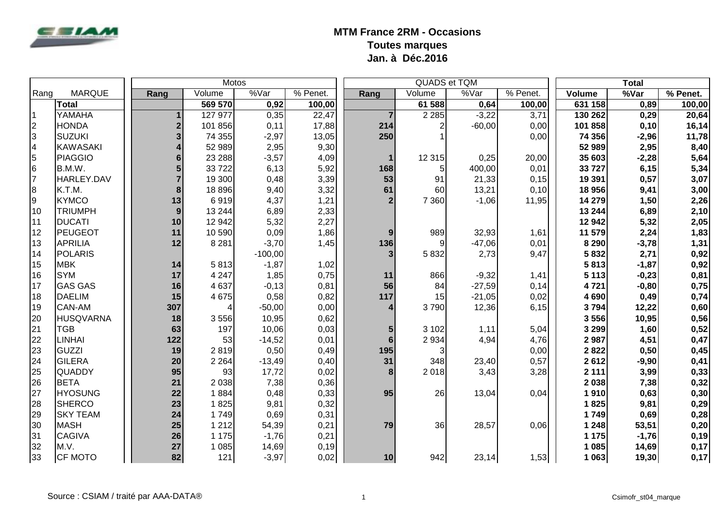

|                 |                  |                         | <b>Motos</b> |           |            |                | QUADS et TQM        |          |          |         | <b>Total</b> |          |
|-----------------|------------------|-------------------------|--------------|-----------|------------|----------------|---------------------|----------|----------|---------|--------------|----------|
| Rang            | <b>MARQUE</b>    | Rang                    | Volume       | %Var      | $%$ Penet. | Rang           | $\overline{Volume}$ | %Var     | % Penet. | Volume  | %Var         | % Penet. |
|                 | <b>Total</b>     |                         | 569 570      | 0,92      | 100,00     |                | 61 588              | 0,64     | 100,00   | 631 158 | 0,89         | 100,00   |
| l 1             | YAMAHA           |                         | 127 977      | 0,35      | 22,47      |                | 2 2 8 5             | $-3,22$  | 3,71     | 130 262 | 0,29         | 20,64    |
| $\overline{2}$  | <b>HONDA</b>     | $\overline{\mathbf{2}}$ | 101 856      | 0,11      | 17,88      | 214            | 2                   | $-60,00$ | 0,00     | 101 858 | 0,10         | 16,14    |
| $\overline{3}$  | <b>SUZUKI</b>    | $\overline{\mathbf{3}}$ | 74 355       | $-2,97$   | 13,05      | 250            |                     |          | 0,00     | 74 356  | $-2,96$      | 11,78    |
| $\overline{4}$  | <b>KAWASAKI</b>  |                         | 52 989       | 2,95      | 9,30       |                |                     |          |          | 52 989  | 2,95         | 8,40     |
| 5               | <b>PIAGGIO</b>   | 6                       | 23 288       | $-3,57$   | 4,09       | -1             | 12 3 15             | 0,25     | 20,00    | 35 603  | $-2,28$      | 5,64     |
| $6\overline{6}$ | B.M.W.           | 5                       | 33722        | 6,13      | 5,92       | 168            | 5 <sub>l</sub>      | 400,00   | 0,01     | 33727   | 6, 15        | 5,34     |
| 17              | HARLEY.DAV       |                         | 19 300       | 0,48      | 3,39       | 53             | 91                  | 21,33    | 0,15     | 19 391  | 0,57         | 3,07     |
| 8               | K.T.M.           | 8                       | 18 896       | 9,40      | 3,32       | 61             | 60                  | 13,21    | 0,10     | 18 956  | 9,41         | 3,00     |
| 9               | <b>KYMCO</b>     | 13                      | 6919         | 4,37      | 1,21       | $\overline{2}$ | 7 3 6 0             | $-1,06$  | 11,95    | 14 279  | 1,50         | 2,26     |
| 10              | <b>TRIUMPH</b>   | 9                       | 13 244       | 6,89      | 2,33       |                |                     |          |          | 13 244  | 6,89         | 2,10     |
| 11              | <b>DUCATI</b>    | 10                      | 12 942       | 5,32      | 2,27       |                |                     |          |          | 12 942  | 5,32         | 2,05     |
| 12              | <b>PEUGEOT</b>   | 11                      | 10 590       | 0,09      | 1,86       | 9              | 989                 | 32,93    | 1,61     | 11 579  | 2,24         | 1,83     |
| 13              | <b>APRILIA</b>   | 12                      | 8 2 8 1      | $-3,70$   | 1,45       | 136            | 9                   | $-47,06$ | 0,01     | 8 2 9 0 | $-3,78$      | 1,31     |
| 14              | <b>POLARIS</b>   |                         |              | $-100,00$ |            | 3              | 5832                | 2,73     | 9,47     | 5832    | 2,71         | 0,92     |
| 15              | <b>MBK</b>       | 14                      | 5813         | $-1,87$   | 1,02       |                |                     |          |          | 5813    | $-1,87$      | 0,92     |
| 16              | <b>SYM</b>       | 17                      | 4 2 4 7      | 1,85      | 0,75       | 11             | 866                 | $-9,32$  | 1,41     | 5 1 1 3 | $-0,23$      | 0,81     |
| 17              | <b>GAS GAS</b>   | 16                      | 4 6 3 7      | $-0,13$   | 0,81       | 56             | 84                  | $-27,59$ | 0,14     | 4721    | $-0,80$      | 0,75     |
| 18              | <b>DAELIM</b>    | 15                      | 4 6 7 5      | 0,58      | 0,82       | 117            | 15                  | $-21,05$ | 0,02     | 4690    | 0,49         | 0,74     |
| 19              | <b>CAN-AM</b>    | 307                     | 4            | $-50,00$  | 0,00       |                | 3790                | 12,36    | 6, 15    | 3794    | 12,22        | 0,60     |
| 20              | <b>HUSQVARNA</b> | 18                      | 3556         | 10,95     | 0,62       |                |                     |          |          | 3556    | 10,95        | 0,56     |
| 21              | <b>TGB</b>       | 63                      | 197          | 10,06     | 0,03       | 5 <sub>l</sub> | 3 1 0 2             | 1,11     | 5,04     | 3 2 9 9 | 1,60         | 0,52     |
| 22              | <b>LINHAI</b>    | 122                     | 53           | $-14,52$  | 0,01       | 6 <sup>1</sup> | 2 9 3 4             | 4,94     | 4,76     | 2987    | 4,51         | 0,47     |
| 23              | <b>GUZZI</b>     | 19                      | 2819         | 0,50      | 0,49       | 195            | 3                   |          | 0,00     | 2822    | 0,50         | 0,45     |
| 24              | <b>GILERA</b>    | 20                      | 2 2 6 4      | $-13,49$  | 0,40       | 31             | 348                 | 23,40    | 0,57     | 2612    | $-9,90$      | 0,41     |
| 25              | <b>QUADDY</b>    | 95                      | 93           | 17,72     | 0,02       | 8              | 2018                | 3,43     | 3,28     | 2 1 1 1 | 3,99         | 0,33     |
| 26              | <b>BETA</b>      | 21                      | 2 0 38       | 7,38      | 0,36       |                |                     |          |          | 2038    | 7,38         | 0,32     |
| 27              | <b>HYOSUNG</b>   | 22                      | 1884         | 0,48      | 0,33       | 95             | 26                  | 13,04    | 0,04     | 1910    | 0,63         | 0,30     |
| 28              | <b>SHERCO</b>    | 23                      | 1825         | 9,81      | 0,32       |                |                     |          |          | 1825    | 9,81         | 0,29     |
| 29              | <b>SKY TEAM</b>  | 24                      | 1749         | 0,69      | 0,31       |                |                     |          |          | 1749    | 0,69         | 0,28     |
| 30              | <b>MASH</b>      | 25                      | 1 2 1 2      | 54,39     | 0,21       | 79             | 36                  | 28,57    | 0,06     | 1 2 4 8 | 53,51        | 0,20     |
| 31              | <b>CAGIVA</b>    | 26                      | 1 1 7 5      | $-1,76$   | 0,21       |                |                     |          |          | 1 1 7 5 | $-1,76$      | 0,19     |
| 32              | M.V.             | 27                      | 1 0 8 5      | 14,69     | 0,19       |                |                     |          |          | 1 0 8 5 | 14,69        | 0,17     |
| 33              | <b>CF MOTO</b>   | 82                      | 121          | $-3,97$   | 0,02       | 10             | 942                 | 23,14    | 1,53     | 1 0 63  | 19,30        | 0,17     |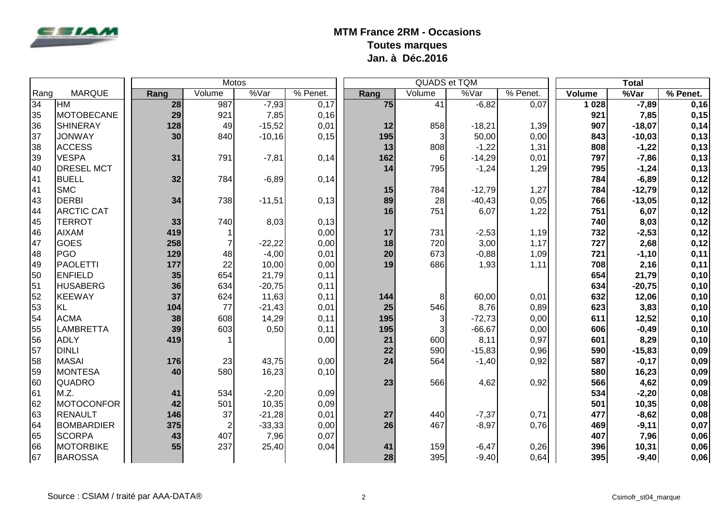

|      |                   |      |                | <b>Motos</b> |          |      |        | QUADS et TQM |          |        | <b>Total</b> |          |
|------|-------------------|------|----------------|--------------|----------|------|--------|--------------|----------|--------|--------------|----------|
| Rang | <b>MARQUE</b>     | Rang | Volume         | %Var         | % Penet. | Rang | Volume | %Var         | % Penet. | Volume | %Var         | % Penet. |
| 34   | <b>HM</b>         | 28   | 987            | $-7,93$      | 0,17     | 75   | 41     | $-6,82$      | 0,07     | 1 0 28 | $-7,89$      | 0,16     |
| 35   | MOTOBECANE        | 29   | 921            | 7,85         | 0,16     |      |        |              |          | 921    | 7,85         | 0,15     |
| 36   | <b>SHINERAY</b>   | 128  | 49             | $-15,52$     | 0,01     | 12   | 858    | $-18,21$     | 1,39     | 907    | $-18,07$     | 0,14     |
| 37   | <b>JONWAY</b>     | 30   | 840            | $-10,16$     | 0,15     | 195  | 3      | 50,00        | 0,00     | 843    | $-10,03$     | 0,13     |
| 38   | <b>ACCESS</b>     |      |                |              |          | 13   | 808    | $-1,22$      | 1,31     | 808    | $-1,22$      | 0,13     |
| 39   | <b>VESPA</b>      | 31   | 791            | $-7,81$      | 0,14     | 162  | 6      | $-14,29$     | 0,01     | 797    | $-7,86$      | 0,13     |
| 40   | <b>DRESEL MCT</b> |      |                |              |          | 14   | 795    | $-1,24$      | 1,29     | 795    | $-1,24$      | 0,13     |
| 41   | <b>BUELL</b>      | 32   | 784            | $-6,89$      | 0,14     |      |        |              |          | 784    | $-6,89$      | 0,12     |
| 41   | <b>SMC</b>        |      |                |              |          | 15   | 784    | $-12,79$     | 1,27     | 784    | $-12,79$     | 0,12     |
| 43   | DERBI             | 34   | 738            | $-11,51$     | 0,13     | 89   | 28     | $-40,43$     | 0,05     | 766    | $-13,05$     | 0,12     |
| 44   | <b>ARCTIC CAT</b> |      |                |              |          | 16   | 751    | 6,07         | 1,22     | 751    | 6,07         | 0,12     |
| 45   | <b>TERROT</b>     | 33   | 740            | 8,03         | 0,13     |      |        |              |          | 740    | 8,03         | 0,12     |
| 46   | <b>AIXAM</b>      | 419  | $\mathbf{1}$   |              | 0,00     | 17   | 731    | $-2,53$      | 1,19     | 732    | $-2,53$      | 0,12     |
| 47   | <b>GOES</b>       | 258  | $\overline{7}$ | $-22,22$     | 0,00     | 18   | 720    | 3,00         | 1,17     | 727    | 2,68         | 0,12     |
| 48   | PGO               | 129  | 48             | $-4,00$      | 0,01     | 20   | 673    | $-0,88$      | 1,09     | 721    | $-1,10$      | 0,11     |
| 49   | <b>PAOLETTI</b>   | 177  | 22             | 10,00        | 0,00     | 19   | 686    | 1,93         | 1,11     | 708    | 2,16         | 0,11     |
| 50   | <b>ENFIELD</b>    | 35   | 654            | 21,79        | 0,11     |      |        |              |          | 654    | 21,79        | 0,10     |
| 51   | <b>HUSABERG</b>   | 36   | 634            | $-20,75$     | 0,11     |      |        |              |          | 634    | $-20,75$     | 0,10     |
| 52   | KEEWAY            | 37   | 624            | 11,63        | 0,11     | 144  | 8      | 60,00        | 0,01     | 632    | 12,06        | 0,10     |
| 53   | KL                | 104  | 77             | $-21,43$     | 0,01     | 25   | 546    | 8,76         | 0,89     | 623    | 3,83         | 0,10     |
| 54   | <b>ACMA</b>       | 38   | 608            | 14,29        | 0,11     | 195  | 3      | $-72,73$     | 0,00     | 611    | 12,52        | 0,10     |
| 55   | LAMBRETTA         | 39   | 603            | 0,50         | 0,11     | 195  | 3      | $-66,67$     | 0,00     | 606    | $-0,49$      | 0,10     |
| 56   | <b>ADLY</b>       | 419  | 1              |              | 0,00     | 21   | 600    | 8,11         | 0,97     | 601    | 8,29         | 0,10     |
| 57   | DINLI             |      |                |              |          | 22   | 590    | $-15,83$     | 0,96     | 590    | $-15,83$     | 0,09     |
| 58   | <b>MASAI</b>      | 176  | 23             | 43,75        | 0,00     | 24   | 564    | $-1,40$      | 0,92     | 587    | $-0,17$      | 0,09     |
| 59   | MONTESA           | 40   | 580            | 16,23        | 0,10     |      |        |              |          | 580    | 16,23        | 0,09     |
| 60   | <b>QUADRO</b>     |      |                |              |          | 23   | 566    | 4,62         | 0,92     | 566    | 4,62         | 0,09     |
| 61   | M.Z.              | 41   | 534            | $-2,20$      | 0,09     |      |        |              |          | 534    | $-2,20$      | 0,08     |
| 62   | MOTOCONFOR        | 42   | 501            | 10,35        | 0,09     |      |        |              |          | 501    | 10,35        | 0,08     |
| 63   | RENAULT           | 146  | 37             | $-21,28$     | 0,01     | 27   | 440    | $-7,37$      | 0,71     | 477    | $-8,62$      | 0,08     |
| 64   | BOMBARDIER        | 375  | $\overline{2}$ | $-33,33$     | 0,00     | 26   | 467    | $-8,97$      | 0,76     | 469    | $-9,11$      | 0,07     |
| 65   | <b>SCORPA</b>     | 43   | 407            | 7,96         | 0,07     |      |        |              |          | 407    | 7,96         | 0,06     |
| 66   | <b>MOTORBIKE</b>  | 55   | 237            | 25,40        | 0,04     | 41   | 159    | $-6,47$      | 0,26     | 396    | 10,31        | 0,06     |
| 67   | BAROSSA           |      |                |              |          | 28   | 395    | $-9,40$      | 0,64     | 395    | $-9,40$      | 0,06     |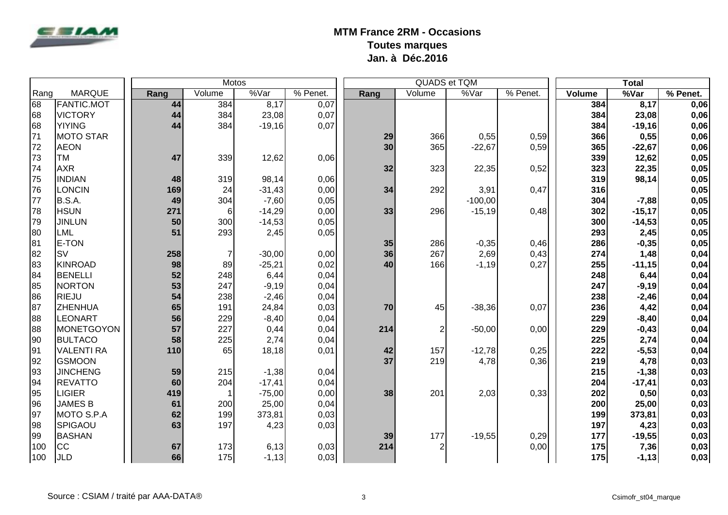

|      |                   |      | <b>Motos</b>   |                   |          |      | QUADS et TQM   |           |          |        | <b>Total</b> |          |
|------|-------------------|------|----------------|-------------------|----------|------|----------------|-----------|----------|--------|--------------|----------|
| Rang | <b>MARQUE</b>     | Rang | Volume         | $\sqrt[9]{8}$ Var | % Penet. | Rang | Volume         | %Var      | % Penet. | Volume | %Var         | % Penet. |
| 68   | <b>FANTIC.MOT</b> | 44   | 384            | 8,17              | 0,07     |      |                |           |          | 384    | 8,17         | 0,06     |
| 68   | <b>VICTORY</b>    | 44   | 384            | 23,08             | 0,07     |      |                |           |          | 384    | 23,08        | 0,06     |
| 68   | <b>YIYING</b>     | 44   | 384            | $-19,16$          | 0,07     |      |                |           |          | 384    | $-19,16$     | 0,06     |
| 71   | MOTO STAR         |      |                |                   |          | 29   | 366            | 0,55      | 0,59     | 366    | 0,55         | 0,06     |
| 72   | <b>AEON</b>       |      |                |                   |          | 30   | 365            | $-22,67$  | 0,59     | 365    | $-22,67$     | 0,06     |
| 73   | <b>TM</b>         | 47   | 339            | 12,62             | 0,06     |      |                |           |          | 339    | 12,62        | 0,05     |
| 74   | <b>AXR</b>        |      |                |                   |          | 32   | 323            | 22,35     | 0,52     | 323    | 22,35        | 0,05     |
| 75   | <b>INDIAN</b>     | 48   | 319            | 98,14             | 0,06     |      |                |           |          | 319    | 98,14        | 0,05     |
| 76   | <b>LONCIN</b>     | 169  | 24             | $-31,43$          | 0,00     | 34   | 292            | 3,91      | 0,47     | 316    |              | 0,05     |
| 77   | B.S.A.            | 49   | 304            | $-7,60$           | 0,05     |      |                | $-100,00$ |          | 304    | $-7,88$      | 0,05     |
| 78   | <b>HSUN</b>       | 271  | $6 \mid$       | $-14,29$          | 0,00     | 33   | 296            | $-15,19$  | 0,48     | 302    | $-15,17$     | 0,05     |
| 79   | <b>JINLUN</b>     | 50   | 300            | $-14,53$          | 0,05     |      |                |           |          | 300    | $-14,53$     | 0,05     |
| 80   | LML               | 51   | 293            | 2,45              | 0,05     |      |                |           |          | 293    | 2,45         | 0,05     |
| 81   | E-TON             |      |                |                   |          | 35   | 286            | $-0,35$   | 0,46     | 286    | $-0,35$      | 0,05     |
| 82   | <b>SV</b>         | 258  | $\overline{7}$ | $-30,00$          | 0,00     | 36   | 267            | 2,69      | 0,43     | 274    | 1,48         | 0,04     |
| 83   | KINROAD           | 98   | 89             | $-25,21$          | 0,02     | 40   | 166            | $-1,19$   | 0,27     | 255    | $-11,15$     | 0,04     |
| 84   | BENELLI           | 52   | 248            | 6,44              | 0,04     |      |                |           |          | 248    | 6,44         | 0,04     |
| 85   | NORTON            | 53   | 247            | $-9,19$           | 0,04     |      |                |           |          | 247    | $-9,19$      | 0,04     |
| 86   | RIEJU             | 54   | 238            | $-2,46$           | 0,04     |      |                |           |          | 238    | $-2,46$      | 0,04     |
| 87   | ZHENHUA           | 65   | 191            | 24,84             | 0,03     | 70   | 45             | $-38,36$  | 0,07     | 236    | 4,42         | 0,04     |
| 88   | LEONART           | 56   | 229            | $-8,40$           | 0,04     |      |                |           |          | 229    | $-8,40$      | 0,04     |
| 88   | MONETGOYON        | 57   | 227            | 0,44              | 0,04     | 214  | 2              | $-50,00$  | 0,00     | 229    | $-0,43$      | 0,04     |
| 90   | <b>BULTACO</b>    | 58   | 225            | 2,74              | 0,04     |      |                |           |          | 225    | 2,74         | 0,04     |
| 91   | <b>VALENTI RA</b> | 110  | 65             | 18,18             | 0,01     | 42   | 157            | $-12,78$  | 0,25     | 222    | $-5,53$      | 0,04     |
| 92   | <b>GSMOON</b>     |      |                |                   |          | 37   | 219            | 4,78      | 0,36     | 219    | 4,78         | 0,03     |
| 93   | <b>JINCHENG</b>   | 59   | 215            | $-1,38$           | 0,04     |      |                |           |          | 215    | $-1,38$      | 0,03     |
| 94   | <b>REVATTO</b>    | 60   | 204            | $-17,41$          | 0,04     |      |                |           |          | 204    | $-17,41$     | 0,03     |
| 95   | <b>LIGIER</b>     | 419  | $\mathbf 1$    | $-75,00$          | 0,00     | 38   | 201            | 2,03      | 0,33     | 202    | 0,50         | 0,03     |
| 96   | <b>JAMES B</b>    | 61   | 200            | 25,00             | 0,04     |      |                |           |          | 200    | 25,00        | 0,03     |
| 97   | MOTO S.P.A        | 62   | 199            | 373,81            | 0,03     |      |                |           |          | 199    | 373,81       | 0,03     |
| 98   | SPIGAOU           | 63   | 197            | 4,23              | 0,03     |      |                |           |          | 197    | 4,23         | 0,03     |
| 99   | BASHAN            |      |                |                   |          | 39   | 177            | $-19,55$  | 0,29     | 177    | $-19,55$     | 0,03     |
| 100  | <b>CC</b>         | 67   | 173            | 6,13              | 0,03     | 214  | $\overline{2}$ |           | 0,00     | 175    | 7,36         | 0,03     |
| 100  | <b>JLD</b>        | 66   | 175            | $-1,13$           | 0,03     |      |                |           |          | 175    | $-1,13$      | 0,03     |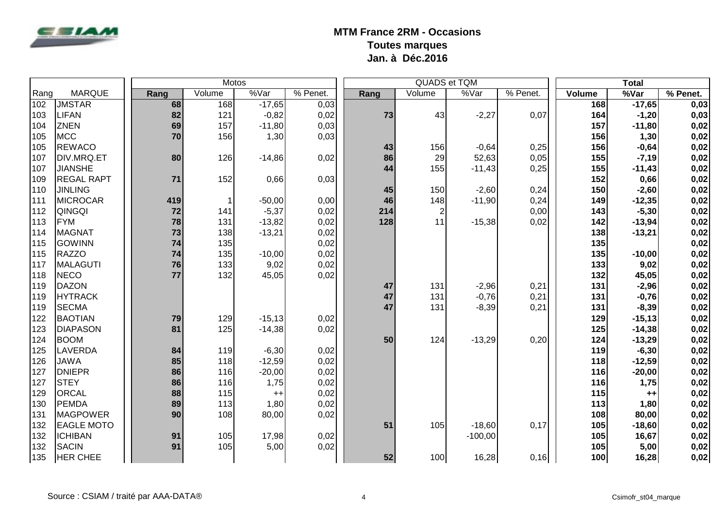

|      |                   |      |        | <b>Motos</b> |          |      | QUADS et TQM   |           |          |               | <b>Total</b> |          |
|------|-------------------|------|--------|--------------|----------|------|----------------|-----------|----------|---------------|--------------|----------|
| Rang | <b>MARQUE</b>     | Rang | Volume | %Var         | % Penet. | Rang | Volume         | %Var      | % Penet. | <b>Volume</b> | %Var         | % Penet. |
| 102  | <b>JMSTAR</b>     | 68   | 168    | $-17,65$     | 0,03     |      |                |           |          | 168           | $-17,65$     | 0,03     |
| 103  | <b>LIFAN</b>      | 82   | 121    | $-0,82$      | 0,02     | 73   | 43             | $-2,27$   | 0,07     | 164           | $-1,20$      | 0,03     |
| 104  | <b>ZNEN</b>       | 69   | 157    | $-11,80$     | 0,03     |      |                |           |          | 157           | $-11,80$     | 0,02     |
| 105  | MCC               | 70   | 156    | 1,30         | 0,03     |      |                |           |          | 156           | 1,30         | 0,02     |
| 105  | <b>REWACO</b>     |      |        |              |          | 43   | 156            | $-0,64$   | 0,25     | 156           | $-0,64$      | 0,02     |
| 107  | DIV.MRQ.ET        | 80   | 126    | $-14,86$     | 0,02     | 86   | 29             | 52,63     | 0,05     | 155           | $-7,19$      | 0,02     |
| 107  | <b>JIANSHE</b>    |      |        |              |          | 44   | 155            | $-11,43$  | 0,25     | 155           | $-11,43$     | 0,02     |
| 109  | <b>REGAL RAPT</b> | 71   | 152    | 0,66         | 0,03     |      |                |           |          | 152           | 0,66         | 0,02     |
| 110  | <b>JINLING</b>    |      |        |              |          | 45   | 150            | $-2,60$   | 0,24     | 150           | $-2,60$      | 0,02     |
| 111  | MICROCAR          | 419  | 1      | $-50,00$     | 0,00     | 46   | 148            | $-11,90$  | 0,24     | 149           | $-12,35$     | 0,02     |
| 112  | <b>QINGQI</b>     | 72   | 141    | $-5,37$      | 0,02     | 214  | 2 <sub>l</sub> |           | 0,00     | 143           | $-5,30$      | 0,02     |
| 113  | FYM               | 78   | 131    | $-13,82$     | 0,02     | 128  | 11             | $-15,38$  | 0,02     | 142           | $-13,94$     | 0,02     |
| 114  | MAGNAT            | 73   | 138    | $-13,21$     | 0,02     |      |                |           |          | 138           | $-13,21$     | 0,02     |
| 115  | GOWINN            | 74   | 135    |              | 0,02     |      |                |           |          | 135           |              | 0,02     |
| 115  | RAZZO             | 74   | 135    | $-10,00$     | 0,02     |      |                |           |          | 135           | $-10,00$     | 0,02     |
| 117  | MALAGUTI          | 76   | 133    | 9,02         | 0,02     |      |                |           |          | 133           | 9,02         | 0,02     |
| 118  | NECO              | 77   | 132    | 45,05        | 0,02     |      |                |           |          | 132           | 45,05        | 0,02     |
| 119  | DAZON             |      |        |              |          | 47   | 131            | $-2,96$   | 0,21     | 131           | $-2,96$      | 0,02     |
| 119  | <b>HYTRACK</b>    |      |        |              |          | 47   | 131            | $-0,76$   | 0,21     | 131           | $-0,76$      | 0,02     |
| 119  | <b>SECMA</b>      |      |        |              |          | 47   | 131            | $-8,39$   | 0,21     | 131           | $-8,39$      | 0,02     |
| 122  | <b>BAOTIAN</b>    | 79   | 129    | $-15,13$     | 0,02     |      |                |           |          | 129           | $-15,13$     | 0,02     |
| 123  | <b>DIAPASON</b>   | 81   | 125    | $-14,38$     | 0,02     |      |                |           |          | 125           | $-14,38$     | 0,02     |
| 124  | BOOM              |      |        |              |          | 50   | 124            | $-13,29$  | 0,20     | 124           | $-13,29$     | 0,02     |
| 125  | <b>LAVERDA</b>    | 84   | 119    | $-6,30$      | 0,02     |      |                |           |          | 119           | $-6,30$      | 0,02     |
| 126  | <b>JAWA</b>       | 85   | 118    | $-12,59$     | 0,02     |      |                |           |          | 118           | $-12,59$     | 0,02     |
| 127  | <b>DNIEPR</b>     | 86   | 116    | $-20,00$     | 0,02     |      |                |           |          | 116           | $-20,00$     | 0,02     |
| 127  | STEY              | 86   | 116    | 1,75         | 0,02     |      |                |           |          | 116           | 1,75         | 0,02     |
| 129  | ORCAL             | 88   | 115    | $++$         | 0,02     |      |                |           |          | 115           | $+ +$        | 0,02     |
| 130  | PEMDA             | 89   | 113    | 1,80         | 0,02     |      |                |           |          | 113           | 1,80         | 0,02     |
| 131  | <b>MAGPOWER</b>   | 90   | 108    | 80,00        | 0,02     |      |                |           |          | 108           | 80,00        | 0,02     |
| 132  | <b>EAGLE MOTO</b> |      |        |              |          | 51   | 105            | $-18,60$  | 0,17     | 105           | $-18,60$     | 0,02     |
| 132  | <b>ICHIBAN</b>    | 91   | 105    | 17,98        | 0,02     |      |                | $-100,00$ |          | 105           | 16,67        | 0,02     |
| 132  | SACIN             | 91   | 105    | 5,00         | 0,02     |      |                |           |          | 105           | 5,00         | 0,02     |
| 135  | <b>HER CHEE</b>   |      |        |              |          | 52   | 100            | 16,28     | 0,16     | 100           | 16,28        | 0,02     |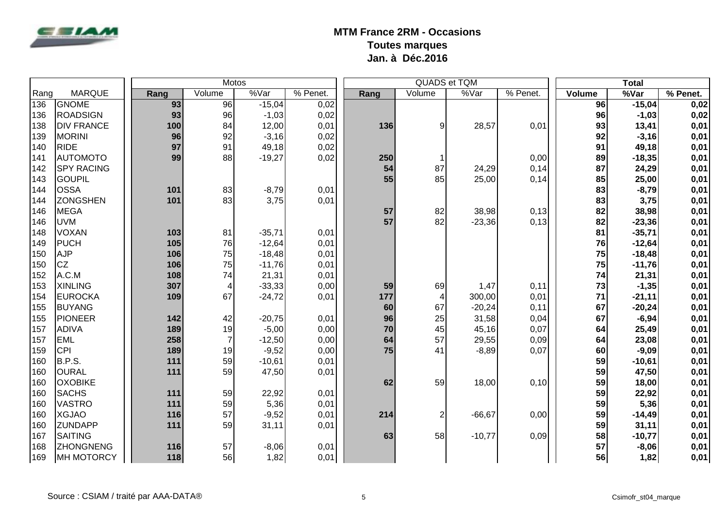

|      |                   |      | <b>Motos</b>    |          |            |      | <b>QUADS et TQM</b> |          |          |        | <b>Total</b> |            |
|------|-------------------|------|-----------------|----------|------------|------|---------------------|----------|----------|--------|--------------|------------|
| Rang | <b>MARQUE</b>     | Rang | Volume          | %Var     | $%$ Penet. | Rang | Volume              | %Var     | % Penet. | Volume | %Var         | $%$ Penet. |
| 136  | <b>GNOME</b>      | 93   | $\overline{96}$ | $-15,04$ | 0,02       |      |                     |          |          | 96     | $-15,04$     | 0,02       |
| 136  | <b>ROADSIGN</b>   | 93   | 96              | $-1,03$  | 0,02       |      |                     |          |          | 96     | $-1,03$      | 0,02       |
| 138  | <b>DIV FRANCE</b> | 100  | 84              | 12,00    | 0,01       | 136  | $\overline{9}$      | 28,57    | 0,01     | 93     | 13,41        | 0,01       |
| 139  | MORINI            | 96   | 92              | $-3,16$  | 0,02       |      |                     |          |          | 92     | $-3,16$      | 0,01       |
| 140  | <b>RIDE</b>       | 97   | 91              | 49,18    | 0,02       |      |                     |          |          | 91     | 49,18        | 0,01       |
| 141  | AUTOMOTO          | 99   | 88              | $-19,27$ | 0,02       | 250  |                     |          | 0,00     | 89     | $-18,35$     | 0,01       |
| 142  | <b>SPY RACING</b> |      |                 |          |            | 54   | 87                  | 24,29    | 0,14     | 87     | 24,29        | 0,01       |
| 143  | <b>GOUPIL</b>     |      |                 |          |            | 55   | 85                  | 25,00    | 0,14     | 85     | 25,00        | 0,01       |
| 144  | <b>OSSA</b>       | 101  | 83              | $-8,79$  | 0,01       |      |                     |          |          | 83     | $-8,79$      | 0,01       |
| 144  | <b>ZONGSHEN</b>   | 101  | 83              | 3,75     | 0,01       |      |                     |          |          | 83     | 3,75         | 0,01       |
| 146  | <b>MEGA</b>       |      |                 |          |            | 57   | 82                  | 38,98    | 0,13     | 82     | 38,98        | 0,01       |
| 146  | <b>UVM</b>        |      |                 |          |            | 57   | 82                  | $-23,36$ | 0,13     | 82     | $-23,36$     | 0,01       |
| 148  | <b>VOXAN</b>      | 103  | 81              | $-35,71$ | 0,01       |      |                     |          |          | 81     | $-35,71$     | 0,01       |
| 149  | PUCH              | 105  | 76              | $-12,64$ | 0,01       |      |                     |          |          | 76     | $-12,64$     | 0,01       |
| 150  | <b>AJP</b>        | 106  | 75              | $-18,48$ | 0,01       |      |                     |          |          | 75     | $-18,48$     | 0,01       |
| 150  | <b>CZ</b>         | 106  | 75              | $-11,76$ | 0,01       |      |                     |          |          | 75     | $-11,76$     | 0,01       |
| 152  | A.C.M             | 108  | 74              | 21,31    | 0,01       |      |                     |          |          | 74     | 21,31        | 0,01       |
| 153  | <b>XINLING</b>    | 307  | 4               | $-33,33$ | 0,00       | 59   | 69                  | 1,47     | 0,11     | 73     | $-1,35$      | 0,01       |
| 154  | <b>EUROCKA</b>    | 109  | 67              | $-24,72$ | 0,01       | 177  | 4                   | 300,00   | 0,01     | 71     | $-21,11$     | 0,01       |
| 155  | BUYANG            |      |                 |          |            | 60   | 67                  | $-20,24$ | 0,11     | 67     | $-20,24$     | 0,01       |
| 155  | PIONEER           | 142  | 42              | $-20,75$ | 0,01       | 96   | 25                  | 31,58    | 0,04     | 67     | $-6,94$      | 0,01       |
| 157  | <b>ADIVA</b>      | 189  | 19              | $-5,00$  | 0,00       | 70   | 45                  | 45,16    | 0,07     | 64     | 25,49        | 0,01       |
| 157  | <b>EML</b>        | 258  | $\overline{7}$  | $-12,50$ | 0,00       | 64   | 57                  | 29,55    | 0,09     | 64     | 23,08        | 0,01       |
| 159  | <b>CPI</b>        | 189  | 19              | $-9,52$  | 0,00       | 75   | 41                  | $-8,89$  | 0,07     | 60     | $-9,09$      | 0,01       |
| 160  | B.P.S.            | 111  | 59              | $-10,61$ | 0,01       |      |                     |          |          | 59     | $-10,61$     | 0,01       |
| 160  | OURAL             | 111  | 59              | 47,50    | 0,01       |      |                     |          |          | 59     | 47,50        | 0,01       |
| 160  | <b>OXOBIKE</b>    |      |                 |          |            | 62   | 59                  | 18,00    | 0,10     | 59     | 18,00        | 0,01       |
| 160  | <b>SACHS</b>      | 111  | 59              | 22,92    | 0,01       |      |                     |          |          | 59     | 22,92        | 0,01       |
| 160  | <b>VASTRO</b>     | 111  | 59              | 5,36     | 0,01       |      |                     |          |          | 59     | 5,36         | 0,01       |
| 160  | <b>XGJAO</b>      | 116  | 57              | $-9,52$  | 0,01       | 214  | $\overline{c}$      | $-66,67$ | 0,00     | 59     | $-14,49$     | 0,01       |
| 160  | <b>ZUNDAPP</b>    | 111  | 59              | 31,11    | 0,01       |      |                     |          |          | 59     | 31,11        | 0,01       |
| 167  | SAITING           |      |                 |          |            | 63   | 58                  | $-10,77$ | 0,09     | 58     | $-10,77$     | 0,01       |
| 168  | <b>ZHONGNENG</b>  | 116  | 57              | $-8,06$  | 0,01       |      |                     |          |          | 57     | $-8,06$      | 0,01       |
| 169  | MH MOTORCY        | 118  | 56              | 1,82     | 0,01       |      |                     |          |          | 56     | 1,82         | 0,01       |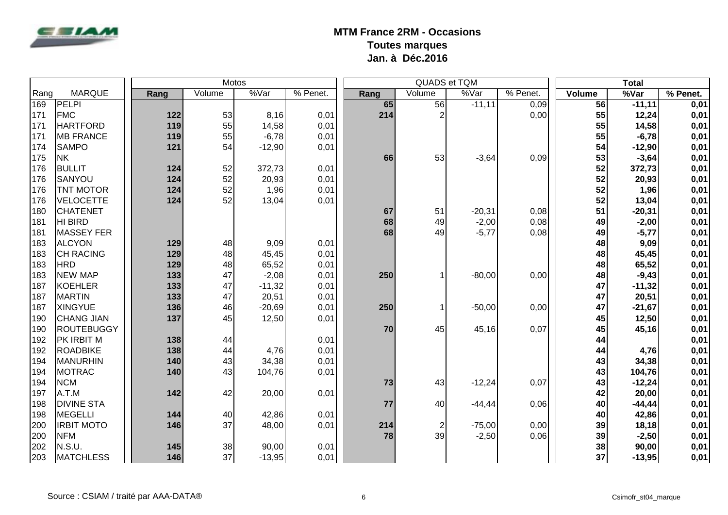

|      |                   |      | Motos  |          |          |      | QUADS et TQM   |          |                        |                 | <b>Total</b> |          |
|------|-------------------|------|--------|----------|----------|------|----------------|----------|------------------------|-----------------|--------------|----------|
| Rang | <b>MARQUE</b>     | Rang | Volume | %Var     | % Penet. | Rang | Volume         | %Var     | $\overline{\%}$ Penet. | Volume          | %Var         | % Penet. |
| 169  | PELPI             |      |        |          |          | 65   | 56             | $-11,11$ | 0,09                   | $\overline{56}$ | $-11,11$     | 0,01     |
| 171  | <b>FMC</b>        | 122  | 53     | 8,16     | 0,01     | 214  | $\overline{2}$ |          | 0,00                   | 55              | 12,24        | 0,01     |
| 171  | <b>HARTFORD</b>   | 119  | 55     | 14,58    | 0,01     |      |                |          |                        | 55              | 14,58        | 0,01     |
| 171  | <b>MB FRANCE</b>  | 119  | 55     | $-6,78$  | 0,01     |      |                |          |                        | 55              | $-6,78$      | 0,01     |
| 174  | <b>SAMPO</b>      | 121  | 54     | $-12,90$ | 0,01     |      |                |          |                        | 54              | $-12,90$     | 0,01     |
| 175  | <b>NK</b>         |      |        |          |          | 66   | 53             | $-3,64$  | 0,09                   | 53              | $-3,64$      | 0,01     |
| 176  | <b>BULLIT</b>     | 124  | 52     | 372,73   | 0,01     |      |                |          |                        | 52              | 372,73       | 0,01     |
| 176  | SANYOU            | 124  | 52     | 20,93    | 0,01     |      |                |          |                        | 52              | 20,93        | 0,01     |
| 176  | <b>TNT MOTOR</b>  | 124  | 52     | 1,96     | 0,01     |      |                |          |                        | 52              | 1,96         | 0,01     |
| 176  | <b>VELOCETTE</b>  | 124  | 52     | 13,04    | 0,01     |      |                |          |                        | 52              | 13,04        | 0,01     |
| 180  | <b>CHATENET</b>   |      |        |          |          | 67   | 51             | $-20,31$ | 0,08                   | 51              | $-20,31$     | 0,01     |
| 181  | HI BIRD           |      |        |          |          | 68   | 49             | $-2,00$  | 0,08                   | 49              | $-2,00$      | 0,01     |
| 181  | MASSEY FER        |      |        |          |          | 68   | 49             | $-5,77$  | 0,08                   | 49              | $-5,77$      | 0,01     |
| 183  | <b>ALCYON</b>     | 129  | 48     | 9,09     | 0,01     |      |                |          |                        | 48              | 9,09         | 0,01     |
| 183  | <b>CH RACING</b>  | 129  | 48     | 45,45    | 0,01     |      |                |          |                        | 48              | 45,45        | 0,01     |
| 183  | <b>HRD</b>        | 129  | 48     | 65,52    | 0,01     |      |                |          |                        | 48              | 65,52        | 0,01     |
| 183  | <b>NEW MAP</b>    | 133  | 47     | $-2,08$  | 0,01     | 250  |                | $-80,00$ | 0,00                   | 48              | $-9,43$      | 0,01     |
| 187  | KOEHLER           | 133  | 47     | $-11,32$ | 0,01     |      |                |          |                        | 47              | $-11,32$     | 0,01     |
| 187  | <b>MARTIN</b>     | 133  | 47     | 20,51    | 0,01     |      |                |          |                        | 47              | 20,51        | 0,01     |
| 187  | <b>XINGYUE</b>    | 136  | 46     | $-20,69$ | 0,01     | 250  |                | $-50,00$ | 0,00                   | 47              | $-21,67$     | 0,01     |
| 190  | <b>CHANG JIAN</b> | 137  | 45     | 12,50    | 0,01     |      |                |          |                        | 45              | 12,50        | 0,01     |
| 190  | ROUTEBUGGY        |      |        |          |          | 70   | 45             | 45,16    | 0,07                   | 45              | 45,16        | 0,01     |
| 192  | <b>PK IRBIT M</b> | 138  | 44     |          | 0,01     |      |                |          |                        | 44              |              | 0,01     |
| 192  | <b>ROADBIKE</b>   | 138  | 44     | 4,76     | 0,01     |      |                |          |                        | 44              | 4,76         | 0,01     |
| 194  | MANURHIN          | 140  | 43     | 34,38    | 0,01     |      |                |          |                        | 43              | 34,38        | 0,01     |
| 194  | <b>MOTRAC</b>     | 140  | 43     | 104,76   | 0,01     |      |                |          |                        | 43              | 104,76       | 0,01     |
| 194  | <b>NCM</b>        |      |        |          |          | 73   | 43             | $-12,24$ | 0,07                   | 43              | $-12,24$     | 0,01     |
| 197  | A.T.M             | 142  | 42     | 20,00    | 0,01     |      |                |          |                        | 42              | 20,00        | 0,01     |
| 198  | <b>DIVINE STA</b> |      |        |          |          | 77   | 40             | $-44,44$ | 0,06                   | 40              | $-44, 44$    | 0,01     |
| 198  | <b>MEGELLI</b>    | 144  | 40     | 42,86    | 0,01     |      |                |          |                        | 40              | 42,86        | 0,01     |
| 200  | <b>IRBIT MOTO</b> | 146  | 37     | 48,00    | 0,01     | 214  | $\overline{c}$ | $-75,00$ | 0,00                   | 39              | 18,18        | 0,01     |
| 200  | <b>NFM</b>        |      |        |          |          | 78   | 39             | $-2,50$  | 0,06                   | 39              | $-2,50$      | 0,01     |
| 202  | N.S.U.            | 145  | 38     | 90,00    | 0,01     |      |                |          |                        | 38              | 90,00        | 0,01     |
| 203  | <b>MATCHLESS</b>  | 146  | 37     | $-13,95$ | 0,01     |      |                |          |                        | 37              | $-13,95$     | 0,01     |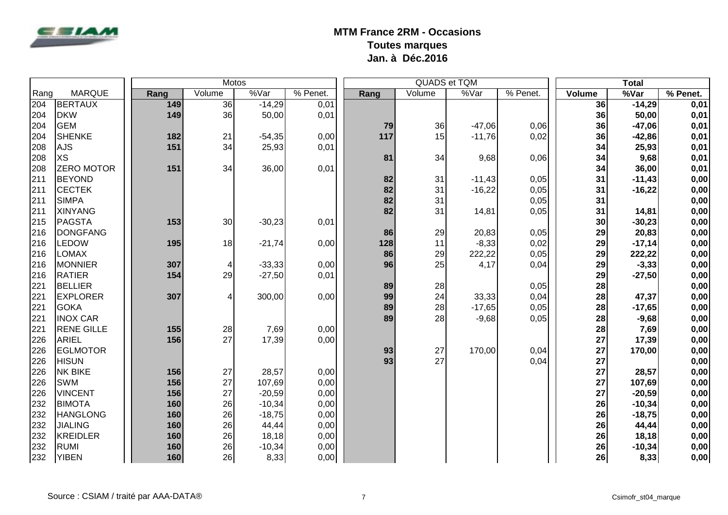

|      |                   |      | Motos  |          |            |      |        | QUADS et TQM |          |        | <b>Total</b> |          |
|------|-------------------|------|--------|----------|------------|------|--------|--------------|----------|--------|--------------|----------|
| Rang | <b>MARQUE</b>     | Rang | Volume | %Var     | $%$ Penet. | Rang | Volume | %Var         | % Penet. | Volume | %Var         | % Penet. |
| 204  | BERTAUX           | 149  | 36     | $-14,29$ | 0,01       |      |        |              |          | 36     | $-14,29$     | 0,01     |
| 204  | <b>DKW</b>        | 149  | 36     | 50,00    | 0,01       |      |        |              |          | 36     | 50,00        | 0,01     |
| 204  | GEM               |      |        |          |            | 79   | 36     | $-47,06$     | 0,06     | 36     | $-47,06$     | 0,01     |
| 204  | <b>SHENKE</b>     | 182  | 21     | $-54,35$ | 0,00       | 117  | 15     | $-11,76$     | 0,02     | 36     | $-42,86$     | 0,01     |
| 208  | <b>AJS</b>        | 151  | 34     | 25,93    | 0,01       |      |        |              |          | 34     | 25,93        | 0,01     |
| 208  | <b>XS</b>         |      |        |          |            | 81   | 34     | 9,68         | 0,06     | 34     | 9,68         | 0,01     |
| 208  | <b>ZERO MOTOR</b> | 151  | 34     | 36,00    | 0,01       |      |        |              |          | 34     | 36,00        | 0,01     |
| 211  | <b>BEYOND</b>     |      |        |          |            | 82   | 31     | $-11,43$     | 0,05     | 31     | $-11,43$     | 0,00     |
| 211  | <b>CECTEK</b>     |      |        |          |            | 82   | 31     | $-16,22$     | 0,05     | 31     | $-16,22$     | 0,00     |
| 211  | SIMPA             |      |        |          |            | 82   | 31     |              | 0,05     | 31     |              | 0,00     |
| 211  | <b>XINYANG</b>    |      |        |          |            | 82   | 31     | 14,81        | 0,05     | 31     | 14,81        | 0,00     |
| 215  | PAGSTA            | 153  | 30     | $-30,23$ | 0,01       |      |        |              |          | 30     | $-30,23$     | 0,00     |
| 216  | <b>DONGFANG</b>   |      |        |          |            | 86   | 29     | 20,83        | 0,05     | 29     | 20,83        | 0,00     |
| 216  | <b>LEDOW</b>      | 195  | 18     | $-21,74$ | 0,00       | 128  | 11     | $-8,33$      | 0,02     | 29     | $-17,14$     | 0,00     |
| 216  | <b>LOMAX</b>      |      |        |          |            | 86   | 29     | 222,22       | 0,05     | 29     | 222,22       | 0,00     |
| 216  | <b>MONNIER</b>    | 307  | 4      | $-33,33$ | 0,00       | 96   | 25     | 4,17         | 0,04     | 29     | $-3,33$      | 0,00     |
| 216  | <b>RATIER</b>     | 154  | 29     | $-27,50$ | 0,01       |      |        |              |          | 29     | $-27,50$     | 0,00     |
| 221  | <b>BELLIER</b>    |      |        |          |            | 89   | 28     |              | 0,05     | 28     |              | 0,00     |
| 221  | <b>EXPLORER</b>   | 307  | 4      | 300,00   | 0,00       | 99   | 24     | 33,33        | 0,04     | 28     | 47,37        | 0,00     |
| 221  | GOKA              |      |        |          |            | 89   | 28     | $-17,65$     | 0,05     | 28     | $-17,65$     | 0,00     |
| 221  | <b>INOX CAR</b>   |      |        |          |            | 89   | 28     | $-9,68$      | 0,05     | 28     | $-9,68$      | 0,00     |
| 221  | <b>RENE GILLE</b> | 155  | 28     | 7,69     | 0,00       |      |        |              |          | 28     | 7,69         | 0,00     |
| 226  | <b>ARIEL</b>      | 156  | 27     | 17,39    | 0,00       |      |        |              |          | 27     | 17,39        | 0,00     |
| 226  | <b>EGLMOTOR</b>   |      |        |          |            | 93   | 27     | 170,00       | 0,04     | 27     | 170,00       | 0,00     |
| 226  | <b>HISUN</b>      |      |        |          |            | 93   | 27     |              | 0,04     | 27     |              | 0,00     |
| 226  | <b>NK BIKE</b>    | 156  | 27     | 28,57    | 0,00       |      |        |              |          | 27     | 28,57        | 0,00     |
| 226  | <b>SWM</b>        | 156  | 27     | 107,69   | 0,00       |      |        |              |          | 27     | 107,69       | 0,00     |
| 226  | <b>VINCENT</b>    | 156  | 27     | $-20,59$ | 0,00       |      |        |              |          | 27     | $-20,59$     | 0,00     |
| 232  | <b>BIMOTA</b>     | 160  | 26     | $-10,34$ | 0,00       |      |        |              |          | 26     | $-10,34$     | 0,00     |
| 232  | <b>HANGLONG</b>   | 160  | 26     | $-18,75$ | 0,00       |      |        |              |          | 26     | $-18,75$     | 0,00     |
| 232  | <b>JIALING</b>    | 160  | 26     | 44,44    | 0,00       |      |        |              |          | 26     | 44,44        | 0,00     |
| 232  | KREIDLER          | 160  | 26     | 18,18    | 0,00       |      |        |              |          | 26     | 18,18        | 0,00     |
| 232  | RUMI              | 160  | 26     | $-10,34$ | 0,00       |      |        |              |          | 26     | $-10,34$     | 0,00     |
| 232  | <b>YIBEN</b>      | 160  | 26     | 8,33     | 0,00       |      |        |              |          | 26     | 8,33         | 0,00     |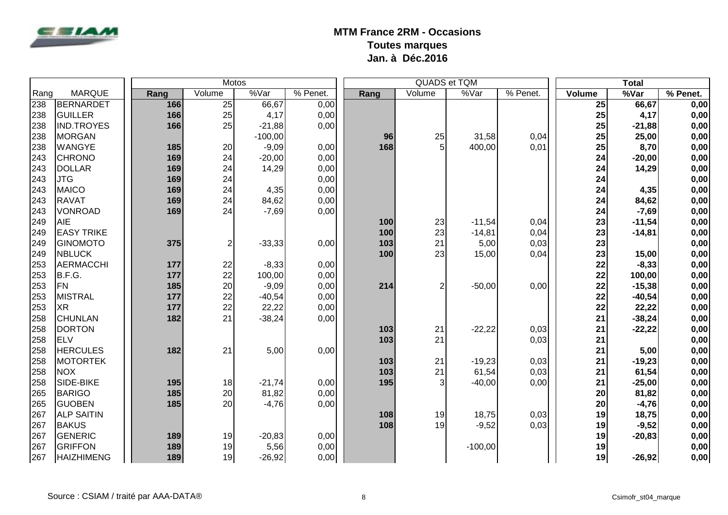

|      |                   |      | <b>Motos</b>   |                   |            |      |        | QUADS et TQM |          |        | <b>Total</b> |            |
|------|-------------------|------|----------------|-------------------|------------|------|--------|--------------|----------|--------|--------------|------------|
| Rang | <b>MARQUE</b>     | Rang | Volume         | $\sqrt[9]{8}$ Var | $%$ Penet. | Rang | Volume | %Var         | % Penet. | Volume | %Var         | $%$ Penet. |
| 238  | BERNARDET         | 166  | 25             | 66,67             | 0,00       |      |        |              |          | 25     | 66,67        | 0,00       |
| 238  | GUILLER           | 166  | 25             | 4,17              | 0,00       |      |        |              |          | 25     | 4,17         | 0,00       |
| 238  | <b>IND.TROYES</b> | 166  | 25             | $-21,88$          | 0,00       |      |        |              |          | 25     | $-21,88$     | 0,00       |
| 238  | MORGAN            |      |                | $-100,00$         |            | 96   | 25     | 31,58        | 0,04     | 25     | 25,00        | 0,00       |
| 238  | <b>WANGYE</b>     | 185  | 20             | $-9,09$           | 0,00       | 168  | 5      | 400,00       | 0,01     | 25     | 8,70         | 0,00       |
| 243  | <b>CHRONO</b>     | 169  | 24             | $-20,00$          | 0,00       |      |        |              |          | 24     | $-20,00$     | 0,00       |
| 243  | DOLLAR            | 169  | 24             | 14,29             | 0,00       |      |        |              |          | 24     | 14,29        | 0,00       |
| 243  | <b>JTG</b>        | 169  | 24             |                   | 0,00       |      |        |              |          | 24     |              | 0,00       |
| 243  | MAICO             | 169  | 24             | 4,35              | 0,00       |      |        |              |          | 24     | 4,35         | 0,00       |
| 243  | <b>RAVAT</b>      | 169  | 24             | 84,62             | 0,00       |      |        |              |          | 24     | 84,62        | 0,00       |
| 243  | VONROAD           | 169  | 24             | $-7,69$           | 0,00       |      |        |              |          | 24     | $-7,69$      | 0,00       |
| 249  | AIE               |      |                |                   |            | 100  | 23     | $-11,54$     | 0,04     | 23     | $-11,54$     | 0,00       |
| 249  | <b>EASY TRIKE</b> |      |                |                   |            | 100  | 23     | $-14,81$     | 0,04     | 23     | $-14,81$     | 0,00       |
| 249  | <b>GINOMOTO</b>   | 375  | $\overline{2}$ | $-33,33$          | 0,00       | 103  | 21     | 5,00         | 0,03     | 23     |              | 0,00       |
| 249  | NBLUCK            |      |                |                   |            | 100  | 23     | 15,00        | 0,04     | 23     | 15,00        | 0,00       |
| 253  | AERMACCHI         | 177  | 22             | $-8,33$           | 0,00       |      |        |              |          | 22     | $-8,33$      | 0,00       |
| 253  | B.F.G.            | 177  | 22             | 100,00            | 0,00       |      |        |              |          | 22     | 100,00       | 0,00       |
| 253  | <b>FN</b>         | 185  | 20             | $-9,09$           | 0,00       | 214  |        | $-50,00$     | 0,00     | 22     | $-15,38$     | 0,00       |
| 253  | MISTRAL           | 177  | 22             | $-40,54$          | 0,00       |      |        |              |          | 22     | $-40,54$     | 0,00       |
| 253  | <b>XR</b>         | 177  | 22             | 22,22             | 0,00       |      |        |              |          | 22     | 22,22        | 0,00       |
| 258  | <b>CHUNLAN</b>    | 182  | 21             | $-38,24$          | 0,00       |      |        |              |          | 21     | $-38,24$     | 0,00       |
| 258  | <b>DORTON</b>     |      |                |                   |            | 103  | 21     | $-22,22$     | 0,03     | 21     | $-22,22$     | 0,00       |
| 258  | <b>ELV</b>        |      |                |                   |            | 103  | 21     |              | 0,03     | 21     |              | 0,00       |
| 258  | <b>HERCULES</b>   | 182  | 21             | 5,00              | 0,00       |      |        |              |          | 21     | 5,00         | 0,00       |
| 258  | <b>MOTORTEK</b>   |      |                |                   |            | 103  | 21     | $-19,23$     | 0,03     | 21     | $-19,23$     | 0,00       |
| 258  | NOX               |      |                |                   |            | 103  | 21     | 61,54        | 0,03     | 21     | 61,54        | 0,00       |
| 258  | SIDE-BIKE         | 195  | 18             | $-21,74$          | 0,00       | 195  | 3      | $-40,00$     | 0,00     | 21     | $-25,00$     | 0,00       |
| 265  | <b>BARIGO</b>     | 185  | 20             | 81,82             | 0,00       |      |        |              |          | 20     | 81,82        | 0,00       |
| 265  | <b>GUOBEN</b>     | 185  | 20             | $-4,76$           | 0,00       |      |        |              |          | 20     | $-4,76$      | 0,00       |
| 267  | <b>ALP SAITIN</b> |      |                |                   |            | 108  | 19     | 18,75        | 0,03     | 19     | 18,75        | 0,00       |
| 267  | <b>BAKUS</b>      |      |                |                   |            | 108  | 19     | $-9,52$      | 0,03     | 19     | $-9,52$      | 0,00       |
| 267  | GENERIC           | 189  | 19             | $-20,83$          | 0,00       |      |        |              |          | 19     | $-20,83$     | 0,00       |
| 267  | <b>GRIFFON</b>    | 189  | 19             | 5,56              | 0,00       |      |        | $-100,00$    |          | 19     |              | 0,00       |
| 267  | <b>HAIZHIMENG</b> | 189  | 19             | $-26,92$          | 0,00       |      |        |              |          | 19     | $-26,92$     | 0,00       |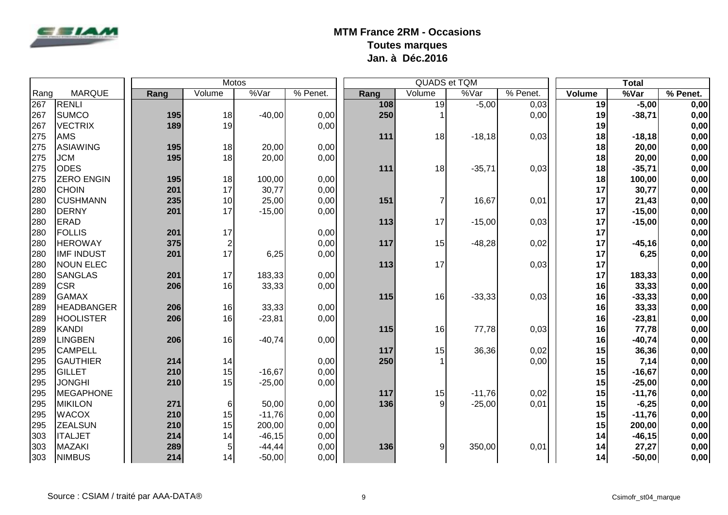

|      |                   |      | <b>Motos</b>     |           |          |      |                | QUADS et TQM |          |        | <b>Total</b> |          |
|------|-------------------|------|------------------|-----------|----------|------|----------------|--------------|----------|--------|--------------|----------|
| Rang | <b>MARQUE</b>     | Rang | Volume           | %Var      | % Penet. | Rang | Volume         | %Var         | % Penet. | Volume | %Var         | % Penet. |
| 267  | RENLI             |      |                  |           |          | 108  | 19             | $-5,00$      | 0,03     | 19     | $-5,00$      | 0,00     |
| 267  | <b>SUMCO</b>      | 195  | 18               | $-40,00$  | 0,00     | 250  |                |              | 0,00     | 19     | $-38,71$     | 0,00     |
| 267  | <b>VECTRIX</b>    | 189  | 19               |           | 0,00     |      |                |              |          | 19     |              | 0,00     |
| 275  | AMS               |      |                  |           |          | 111  | 18             | $-18,18$     | 0,03     | 18     | $-18,18$     | 0,00     |
| 275  | <b>ASIAWING</b>   | 195  | 18               | 20,00     | 0,00     |      |                |              |          | 18     | 20,00        | 0,00     |
| 275  | <b>JCM</b>        | 195  | 18               | 20,00     | 0,00     |      |                |              |          | 18     | 20,00        | 0,00     |
| 275  | <b>ODES</b>       |      |                  |           |          | 111  | 18             | $-35,71$     | 0,03     | 18     | $-35,71$     | 0,00     |
| 275  | <b>ZERO ENGIN</b> | 195  | 18               | 100,00    | 0,00     |      |                |              |          | 18     | 100,00       | 0,00     |
| 280  | CHOIN             | 201  | 17               | 30,77     | 0,00     |      |                |              |          | 17     | 30,77        | 0,00     |
| 280  | <b>CUSHMANN</b>   | 235  | 10               | 25,00     | 0,00     | 151  | 7              | 16,67        | 0,01     | 17     | 21,43        | 0,00     |
| 280  | DERNY             | 201  | 17               | $-15,00$  | 0,00     |      |                |              |          | 17     | $-15,00$     | 0,00     |
| 280  | <b>ERAD</b>       |      |                  |           |          | 113  | 17             | $-15,00$     | 0,03     | 17     | $-15,00$     | 0,00     |
| 280  | FOLLIS            | 201  | 17               |           | 0,00     |      |                |              |          | 17     |              | 0,00     |
| 280  | <b>HEROWAY</b>    | 375  | $\boldsymbol{2}$ |           | 0,00     | 117  | 15             | $-48,28$     | 0,02     | 17     | $-45,16$     | 0,00     |
| 280  | <b>IMF INDUST</b> | 201  | 17               | 6,25      | 0,00     |      |                |              |          | 17     | 6,25         | 0,00     |
| 280  | <b>NOUN ELEC</b>  |      |                  |           |          | 113  | 17             |              | 0,03     | 17     |              | 0,00     |
| 280  | SANGLAS           | 201  | 17               | 183,33    | 0,00     |      |                |              |          | 17     | 183,33       | 0,00     |
| 289  | <b>CSR</b>        | 206  | 16               | 33,33     | 0,00     |      |                |              |          | 16     | 33,33        | 0,00     |
| 289  | <b>GAMAX</b>      |      |                  |           |          | 115  | 16             | $-33,33$     | 0,03     | 16     | $-33,33$     | 0,00     |
| 289  | <b>HEADBANGER</b> | 206  | 16               | 33,33     | 0,00     |      |                |              |          | 16     | 33,33        | 0,00     |
| 289  | <b>HOOLISTER</b>  | 206  | 16               | $-23,81$  | 0,00     |      |                |              |          | 16     | $-23,81$     | 0,00     |
| 289  | KANDI             |      |                  |           |          | 115  | 16             | 77,78        | 0,03     | 16     | 77,78        | 0,00     |
| 289  | <b>LINGBEN</b>    | 206  | 16               | $-40,74$  | 0,00     |      |                |              |          | 16     | $-40,74$     | 0,00     |
| 295  | <b>CAMPELL</b>    |      |                  |           |          | 117  | 15             | 36,36        | 0,02     | 15     | 36,36        | 0,00     |
| 295  | <b>GAUTHIER</b>   | 214  | 14               |           | 0,00     | 250  |                |              | 0,00     | 15     | 7,14         | 0,00     |
| 295  | GILLET            | 210  | 15               | $-16,67$  | 0,00     |      |                |              |          | 15     | $-16,67$     | 0,00     |
| 295  | <b>JONGHI</b>     | 210  | 15               | $-25,00$  | 0,00     |      |                |              |          | 15     | $-25,00$     | 0,00     |
| 295  | MEGAPHONE         |      |                  |           |          | 117  | 15             | $-11,76$     | 0,02     | 15     | $-11,76$     | 0,00     |
| 295  | <b>MIKILON</b>    | 271  | 6                | 50,00     | 0,00     | 136  | $\overline{9}$ | $-25,00$     | 0,01     | 15     | $-6,25$      | 0,00     |
| 295  | <b>WACOX</b>      | 210  | 15               | $-11,76$  | 0,00     |      |                |              |          | 15     | $-11,76$     | 0,00     |
| 295  | <b>ZEALSUN</b>    | 210  | 15               | 200,00    | 0,00     |      |                |              |          | 15     | 200,00       | 0,00     |
| 303  | <b>ITALJET</b>    | 214  | 14               | $-46, 15$ | 0,00     |      |                |              |          | 14     | $-46, 15$    | 0,00     |
| 303  | MAZAKI            | 289  | 5                | $-44,44$  | 0,00     | 136  | 9              | 350,00       | 0,01     | 14     | 27,27        | 0,00     |
| 303  | <b>NIMBUS</b>     | 214  | 14               | $-50,00$  | 0,00     |      |                |              |          | 14     | $-50,00$     | 0,00     |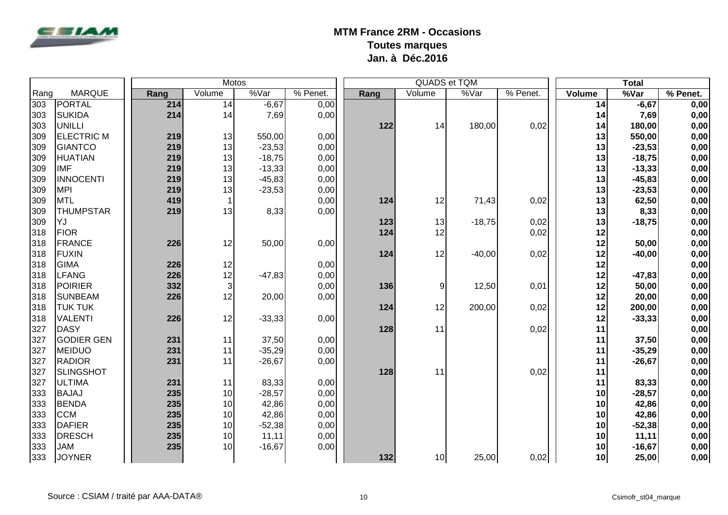

|      |                   |      |        | <b>Motos</b> |          |      | QUADS et TQM |          |          |               | <b>Total</b> |          |
|------|-------------------|------|--------|--------------|----------|------|--------------|----------|----------|---------------|--------------|----------|
| Rang | <b>MARQUE</b>     | Rang | Volume | %Var         | % Penet. | Rang | Volume       | %Var     | % Penet. | <b>Volume</b> | %Var         | % Penet. |
| 303  | PORTAL            | 214  | 14     | $-6,67$      | 0,00     |      |              |          |          | 14            | $-6,67$      | 0,00     |
| 303  | <b>SUKIDA</b>     | 214  | 14     | 7,69         | 0,00     |      |              |          |          | 14            | 7,69         | 0,00     |
| 303  | UNILLI            |      |        |              |          | 122  | 14           | 180,00   | 0,02     | 14            | 180,00       | 0,00     |
| 309  | <b>ELECTRIC M</b> | 219  | 13     | 550,00       | 0,00     |      |              |          |          | 13            | 550,00       | 0,00     |
| 309  | <b>GIANTCO</b>    | 219  | 13     | $-23,53$     | 0,00     |      |              |          |          | 13            | $-23,53$     | 0,00     |
| 309  | <b>HUATIAN</b>    | 219  | 13     | $-18,75$     | 0,00     |      |              |          |          | 13            | $-18,75$     | 0,00     |
| 309  | <b>IMF</b>        | 219  | 13     | $-13,33$     | 0,00     |      |              |          |          | 13            | $-13,33$     | 0,00     |
| 309  | <b>INNOCENTI</b>  | 219  | 13     | $-45,83$     | 0,00     |      |              |          |          | 13            | $-45,83$     | 0,00     |
| 309  | <b>MPI</b>        | 219  | 13     | $-23,53$     | 0,00     |      |              |          |          | 13            | $-23,53$     | 0,00     |
| 309  | MTL               | 419  | 1      |              | 0,00     | 124  | 12           | 71,43    | 0,02     | 13            | 62,50        | 0,00     |
| 309  | <b>THUMPSTAR</b>  | 219  | 13     | 8,33         | 0,00     |      |              |          |          | 13            | 8,33         | 0,00     |
| 309  | IYJ               |      |        |              |          | 123  | 13           | $-18,75$ | 0,02     | 13            | $-18,75$     | 0,00     |
| 318  | FIOR              |      |        |              |          | 124  | 12           |          | 0,02     | 12            |              | 0,00     |
| 318  | FRANCE            | 226  | 12     | 50,00        | 0,00     |      |              |          |          | 12            | 50,00        | 0,00     |
| 318  | FUXIN             |      |        |              |          | 124  | 12           | $-40,00$ | 0,02     | 12            | $-40,00$     | 0,00     |
| 318  | <b>GIMA</b>       | 226  | 12     |              | 0,00     |      |              |          |          | 12            |              | 0,00     |
| 318  | LFANG             | 226  | 12     | $-47,83$     | 0,00     |      |              |          |          | 12            | $-47,83$     | 0,00     |
| 318  | POIRIER           | 332  | 3      |              | 0,00     | 136  | 9            | 12,50    | 0,01     | 12            | 50,00        | 0,00     |
| 318  | <b>SUNBEAM</b>    | 226  | 12     | 20,00        | 0,00     |      |              |          |          | 12            | 20,00        | 0,00     |
| 318  | <b>TUK TUK</b>    |      |        |              |          | 124  | 12           | 200,00   | 0,02     | 12            | 200,00       | 0,00     |
| 318  | VALENTI           | 226  | 12     | $-33,33$     | 0,00     |      |              |          |          | 12            | $-33,33$     | 0,00     |
| 327  | DASY              |      |        |              |          | 128  | 11           |          | 0,02     | 11            |              | 0,00     |
| 327  | <b>GODIER GEN</b> | 231  | 11     | 37,50        | 0,00     |      |              |          |          | 11            | 37,50        | 0,00     |
| 327  | <b>MEIDUO</b>     | 231  | 11     | $-35,29$     | 0,00     |      |              |          |          | 11            | $-35,29$     | 0,00     |
| 327  | <b>RADIOR</b>     | 231  | 11     | $-26,67$     | 0,00     |      |              |          |          | 11            | $-26, 67$    | 0,00     |
| 327  | SLINGSHOT         |      |        |              |          | 128  | 11           |          | 0,02     | 11            |              | 0,00     |
| 327  | <b>ULTIMA</b>     | 231  | 11     | 83,33        | 0,00     |      |              |          |          | 11            | 83,33        | 0,00     |
| 333  | <b>BAJAJ</b>      | 235  | 10     | $-28,57$     | 0,00     |      |              |          |          | 10            | $-28,57$     | 0,00     |
| 333  | <b>BENDA</b>      | 235  | 10     | 42,86        | 0,00     |      |              |          |          | 10            | 42,86        | 0,00     |
| 333  | <b>CCM</b>        | 235  | 10     | 42,86        | 0,00     |      |              |          |          | 10            | 42,86        | 0,00     |
| 333  | DAFIER            | 235  | 10     | $-52,38$     | 0,00     |      |              |          |          | 10            | $-52,38$     | 0,00     |
| 333  | <b>DRESCH</b>     | 235  | 10     | 11,11        | 0,00     |      |              |          |          | 10            | 11,11        | 0,00     |
| 333  | <b>JAM</b>        | 235  | 10     | $-16,67$     | 0,00     |      |              |          |          | 10            | $-16,67$     | 0,00     |
| 333  | <b>JOYNER</b>     |      |        |              |          | 132  | 10           | 25,00    | 0,02     | 10            | 25,00        | 0,00     |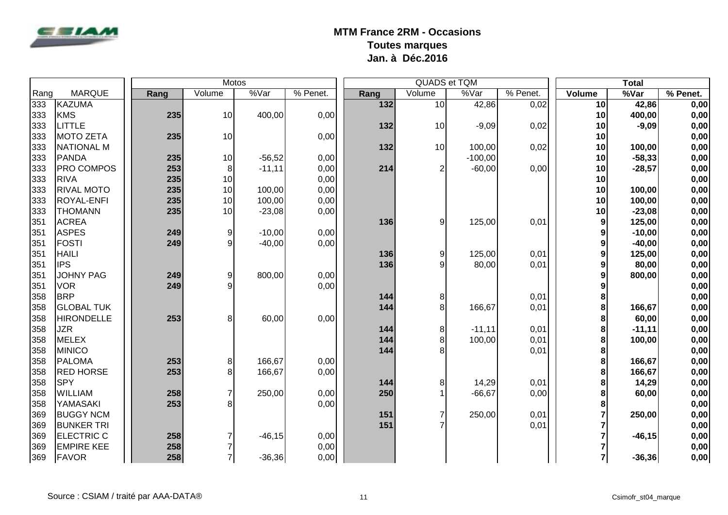

|      |                   |      |     | <b>Motos</b>   |          |          |      |        | QUADS et TQM |          |                         | <b>Total</b> |          |
|------|-------------------|------|-----|----------------|----------|----------|------|--------|--------------|----------|-------------------------|--------------|----------|
| Rang | <b>MARQUE</b>     | Rang |     | Volume         | %Var     | % Penet. | Rang | Volume | %Var         | % Penet. | Volume                  | %Var         | % Penet. |
| 333  | KAZUMA            |      |     |                |          |          | 132  | 10     | 42,86        | 0,02     | 10 <sup>1</sup>         | 42,86        | 0,00     |
| 333  | KMS               |      | 235 | 10             | 400,00   | 0,00     |      |        |              |          | 10                      | 400,00       | 0,00     |
| 333  | <b>LITTLE</b>     |      |     |                |          |          | 132  | 10     | $-9,09$      | 0,02     | 10                      | $-9,09$      | 0,00     |
| 333  | MOTO ZETA         |      | 235 | 10             |          | 0,00     |      |        |              |          | 10                      |              | 0,00     |
| 333  | <b>NATIONAL M</b> |      |     |                |          |          | 132  | 10     | 100,00       | 0,02     | 10                      | 100,00       | 0,00     |
| 333  | PANDA             |      | 235 | 10             | $-56,52$ | 0,00     |      |        | $-100,00$    |          | 10                      | $-58,33$     | 0,00     |
| 333  | <b>PRO COMPOS</b> |      | 253 | 8              | $-11,11$ | 0,00     | 214  | 2      | $-60,00$     | 0,00     | 10                      | $-28,57$     | 0,00     |
| 333  | <b>RIVA</b>       |      | 235 | 10             |          | 0,00     |      |        |              |          | 10                      |              | 0,00     |
| 333  | <b>RIVAL MOTO</b> |      | 235 | 10             | 100,00   | 0,00     |      |        |              |          | 10                      | 100,00       | 0,00     |
| 333  | <b>ROYAL-ENFI</b> |      | 235 | 10             | 100,00   | 0,00     |      |        |              |          | 10                      | 100,00       | 0,00     |
| 333  | <b>THOMANN</b>    |      | 235 | 10             | $-23,08$ | 0,00     |      |        |              |          | 10                      | $-23,08$     | 0,00     |
| 351  | <b>ACREA</b>      |      |     |                |          |          | 136  | 9      | 125,00       | 0,01     | 9                       | 125,00       | 0,00     |
| 351  | <b>ASPES</b>      |      | 249 | 9              | $-10,00$ | 0,00     |      |        |              |          | 9                       | $-10,00$     | 0,00     |
| 351  | FOSTI             |      | 249 | 9              | $-40,00$ | 0,00     |      |        |              |          | 9                       | $-40,00$     | 0,00     |
| 351  | <b>HAILI</b>      |      |     |                |          |          | 136  | 9      | 125,00       | 0,01     | 9                       | 125,00       | 0,00     |
| 351  | <b>IPS</b>        |      |     |                |          |          | 136  | 9      | 80,00        | 0,01     | 9                       | 80,00        | 0,00     |
| 351  | <b>JOHNY PAG</b>  |      | 249 | $\mathsf g$    | 800,00   | 0,00     |      |        |              |          | 9                       | 800,00       | 0,00     |
| 351  | <b>VOR</b>        |      | 249 | 9              |          | 0,00     |      |        |              |          | 9                       |              | 0,00     |
| 358  | <b>BRP</b>        |      |     |                |          |          | 144  | 8      |              | 0,01     | 8                       |              | 0,00     |
| 358  | <b>GLOBAL TUK</b> |      |     |                |          |          | 144  | 8      | 166,67       | 0,01     | 8                       | 166,67       | 0,00     |
| 358  | <b>HIRONDELLE</b> |      | 253 | 8              | 60,00    | 0,00     |      |        |              |          | 8                       | 60,00        | 0,00     |
| 358  | <b>JZR</b>        |      |     |                |          |          | 144  | 8      | $-11,11$     | 0,01     | 8                       | $-11,11$     | 0,00     |
| 358  | MELEX             |      |     |                |          |          | 144  | 8      | 100,00       | 0,01     | 8                       | 100,00       | 0,00     |
| 358  | <b>MINICO</b>     |      |     |                |          |          | 144  |        |              | 0,01     | 8                       |              | 0,00     |
| 358  | PALOMA            |      | 253 | 8              | 166,67   | 0,00     |      |        |              |          | 8                       | 166,67       | 0,00     |
| 358  | <b>RED HORSE</b>  |      | 253 | 8              | 166,67   | 0,00     |      |        |              |          | 8                       | 166,67       | 0,00     |
| 358  | <b>SPY</b>        |      |     |                |          |          | 144  | 8      | 14,29        | 0,01     | 8                       | 14,29        | 0,00     |
| 358  | <b>WILLIAM</b>    |      | 258 | $\overline{7}$ | 250,00   | 0,00     | 250  |        | $-66,67$     | 0,00     | 8                       | 60,00        | 0,00     |
| 358  | <b>YAMASAKI</b>   |      | 253 | 8              |          | 0,00     |      |        |              |          | 8                       |              | 0,00     |
| 369  | <b>BUGGY NCM</b>  |      |     |                |          |          | 151  |        | 250,00       | 0,01     | $\overline{7}$          | 250,00       | 0,00     |
| 369  | <b>BUNKER TRI</b> |      |     |                |          |          | 151  |        |              | 0,01     |                         |              | 0,00     |
| 369  | <b>ELECTRIC C</b> |      | 258 | 7              | $-46,15$ | 0,00     |      |        |              |          |                         | $-46,15$     | 0,00     |
| 369  | <b>EMPIRE KEE</b> |      | 258 | 7              |          | 0,00     |      |        |              |          |                         |              | 0,00     |
| 369  | FAVOR             |      | 258 | $\overline{7}$ | $-36,36$ | 0,00     |      |        |              |          | $\overline{\mathbf{r}}$ | $-36,36$     | 0,00     |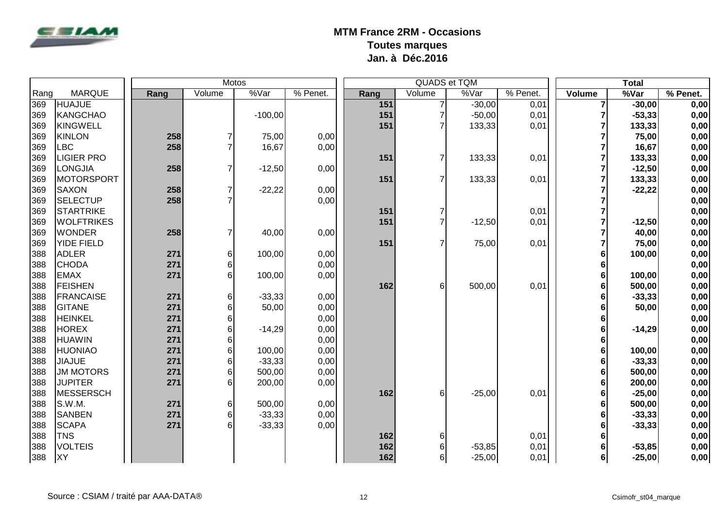

|      |                   |      |                  | Motos                 |          |      |                | QUADS et TQM |            |                | <b>Total</b> |          |
|------|-------------------|------|------------------|-----------------------|----------|------|----------------|--------------|------------|----------------|--------------|----------|
| Rang | <b>MARQUE</b>     | Rang | Volume           | $\sqrt[6]{\sqrt{ar}}$ | % Penet. | Rang | Volume         | %Var         | $%$ Penet. | Volume         | %Var         | % Penet. |
| 369  | <b>HUAJUE</b>     |      |                  |                       |          | 151  |                | $-30,00$     | 0,01       | $\overline{7}$ | $-30,00$     | 0,00     |
| 369  | KANGCHAO          |      |                  | $-100,00$             |          | 151  |                | $-50,00$     | 0,01       | 7              | $-53,33$     | 0,00     |
| 369  | KINGWELL          |      |                  |                       |          | 151  |                | 133,33       | 0,01       | 7              | 133,33       | 0,00     |
| 369  | KINLON            | 258  | $\overline{7}$   | 75,00                 | 0,00     |      |                |              |            |                | 75,00        | 0,00     |
| 369  | <b>LBC</b>        | 258  | $\overline{7}$   | 16,67                 | 0,00     |      |                |              |            |                | 16,67        | 0,00     |
| 369  | <b>LIGIER PRO</b> |      |                  |                       |          | 151  | $\overline{7}$ | 133,33       | 0,01       | 7              | 133,33       | 0,00     |
| 369  | LONGJIA           | 258  | $\overline{7}$   | $-12,50$              | 0,00     |      |                |              |            |                | $-12,50$     | 0,00     |
| 369  | <b>MOTORSPORT</b> |      |                  |                       |          | 151  | $\overline{7}$ | 133,33       | 0,01       | 7              | 133,33       | 0,00     |
| 369  | <b>SAXON</b>      | 258  | $\overline{7}$   | $-22,22$              | 0,00     |      |                |              |            | 7              | $-22,22$     | 0,00     |
| 369  | SELECTUP          | 258  | $\overline{7}$   |                       | 0,00     |      |                |              |            |                |              | 0,00     |
| 369  | STARTRIKE         |      |                  |                       |          | 151  |                |              | 0,01       | 7              |              | 0,00     |
| 369  | <b>WOLFTRIKES</b> |      |                  |                       |          | 151  |                | $-12,50$     | 0,01       | 7              | $-12,50$     | 0,00     |
| 369  | <b>WONDER</b>     | 258  | $\overline{7}$   | 40,00                 | 0,00     |      |                |              |            | 7              | 40,00        | 0,00     |
| 369  | YIDE FIELD        |      |                  |                       |          | 151  | $\overline{7}$ | 75,00        | 0,01       | $\overline{7}$ | 75,00        | 0,00     |
| 388  | <b>ADLER</b>      | 271  | 6                | 100,00                | 0,00     |      |                |              |            | 6              | 100,00       | 0,00     |
| 388  | <b>CHODA</b>      | 271  | $\,6$            |                       | 0,00     |      |                |              |            | 6              |              | 0,00     |
| 388  | <b>EMAX</b>       | 271  | $6 \,$           | 100,00                | 0,00     |      |                |              |            | 6              | 100,00       | 0,00     |
| 388  | <b>FEISHEN</b>    |      |                  |                       |          | 162  | 6              | 500,00       | 0,01       | 6              | 500,00       | 0,00     |
| 388  | <b>FRANCAISE</b>  | 271  | $\,6$            | $-33,33$              | 0,00     |      |                |              |            | 6              | $-33,33$     | 0,00     |
| 388  | <b>GITANE</b>     | 271  | 6                | 50,00                 | 0,00     |      |                |              |            | 6              | 50,00        | 0,00     |
| 388  | <b>HEINKEL</b>    | 271  | 6                |                       | 0,00     |      |                |              |            | 6              |              | 0,00     |
| 388  | <b>HOREX</b>      | 271  | 6                | $-14,29$              | 0,00     |      |                |              |            | 6              | $-14,29$     | 0,00     |
| 388  | <b>HUAWIN</b>     | 271  | 6                |                       | 0,00     |      |                |              |            | 6              |              | 0,00     |
| 388  | <b>HUONIAO</b>    | 271  | $6\phantom{.}$   | 100,00                | 0,00     |      |                |              |            | 6              | 100,00       | 0,00     |
| 388  | <b>JIAJUE</b>     | 271  | 6                | $-33,33$              | 0,00     |      |                |              |            | 6              | $-33,33$     | 0,00     |
| 388  | <b>JM MOTORS</b>  | 271  | $6 \,$           | 500,00                | 0,00     |      |                |              |            | 6              | 500,00       | 0,00     |
| 388  | <b>JUPITER</b>    | 271  | $6 \overline{6}$ | 200,00                | 0,00     |      |                |              |            | 6              | 200,00       | 0,00     |
| 388  | MESSERSCH         |      |                  |                       |          | 162  | 6              | $-25,00$     | 0,01       | 6              | $-25,00$     | 0,00     |
| 388  | S.W.M.            | 271  | 6                | 500,00                | 0,00     |      |                |              |            | 6              | 500,00       | 0,00     |
| 388  | <b>SANBEN</b>     | 271  | 6                | $-33,33$              | 0,00     |      |                |              |            | 6              | $-33,33$     | 0,00     |
| 388  | <b>SCAPA</b>      | 271  | $6 \overline{6}$ | $-33,33$              | 0,00     |      |                |              |            | 6              | $-33,33$     | 0,00     |
| 388  | <b>TNS</b>        |      |                  |                       |          | 162  | 6              |              | 0,01       | 6              |              | 0,00     |
| 388  | <b>VOLTEIS</b>    |      |                  |                       |          | 162  | 6              | $-53,85$     | 0,01       | 6              | $-53,85$     | 0,00     |
| 388  | <b>XY</b>         |      |                  |                       |          | 162  | 6              | $-25,00$     | 0,01       | $6 \mid$       | $-25,00$     | 0,00     |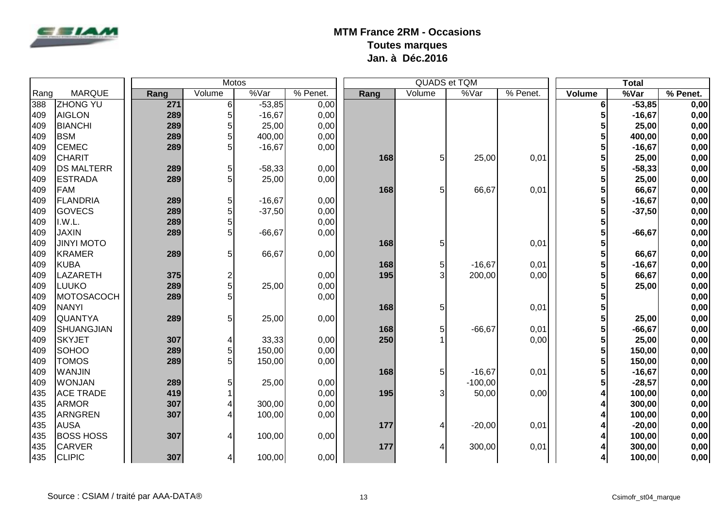

|      |                   |  | <b>Motos</b> |                         |          |            |      |                | QUADS et TQM |          | <b>Total</b> |           |          |
|------|-------------------|--|--------------|-------------------------|----------|------------|------|----------------|--------------|----------|--------------|-----------|----------|
| Rang | <b>MARQUE</b>     |  | Rang         | Volume                  | %Var     | $%$ Penet. | Rang | Volume         | %Var         | % Penet. | Volume       | %Var      | % Penet. |
| 388  | <b>ZHONG YU</b>   |  | 271          | $6 \mid$                | $-53,85$ | 0,00       |      |                |              |          | 6            | $-53,85$  | 0,00     |
| 409  | <b>AIGLON</b>     |  | 289          | 5                       | $-16,67$ | 0,00       |      |                |              |          | 5            | $-16,67$  | 0,00     |
| 409  | <b>BIANCHI</b>    |  | 289          | 5                       | 25,00    | 0,00       |      |                |              |          | 5            | 25,00     | 0,00     |
| 409  | <b>BSM</b>        |  | 289          | 5                       | 400,00   | 0,00       |      |                |              |          | 5            | 400,00    | 0,00     |
| 409  | <b>CEMEC</b>      |  | 289          | 5                       | $-16,67$ | 0,00       |      |                |              |          | 5            | $-16,67$  | 0,00     |
| 409  | <b>CHARIT</b>     |  |              |                         |          |            | 168  | 5 <sup>1</sup> | 25,00        | 0,01     | 5            | 25,00     | 0,00     |
| 409  | <b>DS MALTERR</b> |  | 289          | 5                       | $-58,33$ | 0,00       |      |                |              |          | 5            | $-58,33$  | 0,00     |
| 409  | <b>ESTRADA</b>    |  | 289          | 5                       | 25,00    | 0,00       |      |                |              |          |              | 25,00     | 0,00     |
| 409  | FAM               |  |              |                         |          |            | 168  | 5 <sup>1</sup> | 66,67        | 0,01     | 5            | 66,67     | 0,00     |
| 409  | FLANDRIA          |  | 289          | 5                       | $-16,67$ | 0,00       |      |                |              |          | 5            | $-16,67$  | 0,00     |
| 409  | GOVECS            |  | 289          | 5 <sup>1</sup>          | $-37,50$ | 0,00       |      |                |              |          | 5            | $-37,50$  | 0,00     |
| 409  | I.W.L.            |  | 289          | 5                       |          | 0,00       |      |                |              |          | 5            |           | 0,00     |
| 409  | <b>JAXIN</b>      |  | 289          | 5                       | $-66,67$ | 0,00       |      |                |              |          | 5            | $-66, 67$ | 0,00     |
| 409  | <b>JINYI MOTO</b> |  |              |                         |          |            | 168  | 5              |              | 0,01     | 5            |           | 0,00     |
| 409  | <b>KRAMER</b>     |  | 289          | 5                       | 66,67    | 0,00       |      |                |              |          | 5            | 66,67     | 0,00     |
| 409  | KUBA              |  |              |                         |          |            | 168  | 5              | $-16,67$     | 0,01     | 5            | $-16,67$  | 0,00     |
| 409  | <b>LAZARETH</b>   |  | 375          | $\overline{\mathbf{c}}$ |          | 0,00       | 195  | 3              | 200,00       | 0,00     | 5            | 66,67     | 0,00     |
| 409  | <b>LUUKO</b>      |  | 289          | 5                       | 25,00    | 0,00       |      |                |              |          | 5            | 25,00     | 0,00     |
| 409  | MOTOSACOCH        |  | 289          | 5                       |          | 0,00       |      |                |              |          | 5            |           | 0,00     |
| 409  | <b>NANYI</b>      |  |              |                         |          |            | 168  | 5              |              | 0,01     | 5            |           | 0,00     |
| 409  | <b>QUANTYA</b>    |  | 289          | 5                       | 25,00    | 0,00       |      |                |              |          | 5            | 25,00     | 0,00     |
| 409  | SHUANGJIAN        |  |              |                         |          |            | 168  | 5              | $-66,67$     | 0,01     | 5            | $-66, 67$ | 0,00     |
| 409  | <b>SKYJET</b>     |  | 307          | 4                       | 33,33    | 0,00       | 250  |                |              | 0,00     | 5            | 25,00     | 0,00     |
| 409  | <b>SOHOO</b>      |  | 289          | 5 <sup>1</sup>          | 150,00   | 0,00       |      |                |              |          | 5            | 150,00    | 0,00     |
| 409  | <b>TOMOS</b>      |  | 289          | 5 <sup>1</sup>          | 150,00   | 0,00       |      |                |              |          | 5            | 150,00    | 0,00     |
| 409  | <b>WANJIN</b>     |  |              |                         |          |            | 168  | 5 <sup>1</sup> | $-16,67$     | 0,01     | 5            | $-16,67$  | 0,00     |
| 409  | <b>WONJAN</b>     |  | 289          | 5                       | 25,00    | 0,00       |      |                | $-100,00$    |          | 5            | $-28,57$  | 0,00     |
| 435  | <b>ACE TRADE</b>  |  | 419          | 1                       |          | 0,00       | 195  | 3              | 50,00        | 0,00     | 4            | 100,00    | 0,00     |
| 435  | <b>ARMOR</b>      |  | 307          | 4                       | 300,00   | 0,00       |      |                |              |          | 4            | 300,00    | 0,00     |
| 435  | ARNGREN           |  | 307          | 4                       | 100,00   | 0,00       |      |                |              |          |              | 100,00    | 0,00     |
| 435  | <b>AUSA</b>       |  |              |                         |          |            | 177  |                | $-20,00$     | 0,01     | 4            | $-20,00$  | 0,00     |
| 435  | <b>BOSS HOSS</b>  |  | 307          | 4                       | 100,00   | 0,00       |      |                |              |          |              | 100,00    | 0,00     |
| 435  | <b>CARVER</b>     |  |              |                         |          |            | 177  |                | 300,00       | 0,01     |              | 300,00    | 0,00     |
| 435  | <b>CLIPIC</b>     |  | 307          | $\vert 4 \vert$         | 100,00   | 0,00       |      |                |              |          | 4            | 100,00    | 0,00     |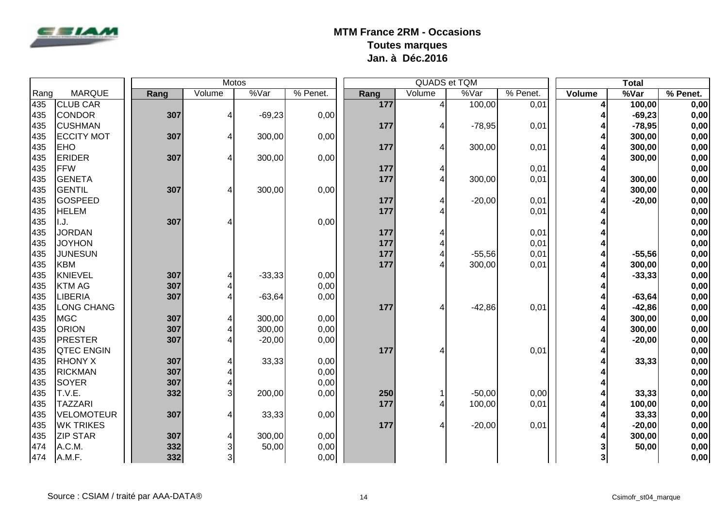

|      |                   |      | <b>Motos</b> |          |          |      |                | <b>QUADS et TQM</b> |          |        | <b>Total</b> |            |
|------|-------------------|------|--------------|----------|----------|------|----------------|---------------------|----------|--------|--------------|------------|
| Rang | <b>MARQUE</b>     | Rang | Volume       | %Var     | % Penet. | Rang | Volume         | %Var                | % Penet. | Volume | %Var         | $%$ Penet. |
| 435  | <b>CLUB CAR</b>   |      |              |          |          | 177  | $\overline{4}$ | 100,00              | 0,01     | 4      | 100,00       | 0,00       |
| 435  | <b>CONDOR</b>     | 307  | 4            | $-69,23$ | 0,00     |      |                |                     |          | 4      | $-69,23$     | 0,00       |
| 435  | <b>CUSHMAN</b>    |      |              |          |          | 177  |                | $-78,95$            | 0,01     | 4      | $-78,95$     | 0,00       |
| 435  | <b>ECCITY MOT</b> | 307  | 4            | 300,00   | 0,00     |      |                |                     |          | 4      | 300,00       | 0,00       |
| 435  | <b>EHO</b>        |      |              |          |          | 177  |                | 300,00              | 0,01     | 4      | 300,00       | 0,00       |
| 435  | <b>ERIDER</b>     | 307  | 4            | 300,00   | 0,00     |      |                |                     |          |        | 300,00       | 0,00       |
| 435  | FFW               |      |              |          |          | 177  |                |                     | 0,01     | 4      |              | 0,00       |
| 435  | GENETA            |      |              |          |          | 177  |                | 300,00              | 0,01     | 4      | 300,00       | 0,00       |
| 435  | GENTIL            | 307  | 4            | 300,00   | 0,00     |      |                |                     |          |        | 300,00       | 0,00       |
| 435  | <b>GOSPEED</b>    |      |              |          |          | 177  |                | $-20,00$            | 0,01     |        | $-20,00$     | 0,00       |
| 435  | <b>HELEM</b>      |      |              |          |          | 177  |                |                     | 0,01     |        |              | 0,00       |
| 435  | II.J.             | 307  | 4            |          | 0,00     |      |                |                     |          |        |              | 0,00       |
| 435  | <b>JORDAN</b>     |      |              |          |          | 177  |                |                     | 0,01     |        |              | 0,00       |
| 435  | <b>JOYHON</b>     |      |              |          |          | 177  |                |                     | 0,01     | 4      |              | 0,00       |
| 435  | <b>JUNESUN</b>    |      |              |          |          | 177  |                | $-55,56$            | 0,01     | 4      | $-55,56$     | 0,00       |
| 435  | KBM               |      |              |          |          | 177  |                | 300,00              | 0,01     |        | 300,00       | 0,00       |
| 435  | KNIEVEL           | 307  | 4            | $-33,33$ | 0,00     |      |                |                     |          |        | $-33,33$     | 0,00       |
| 435  | <b>KTM AG</b>     | 307  | 4            |          | 0,00     |      |                |                     |          |        |              | 0,00       |
| 435  | LIBERIA           | 307  | 4            | $-63,64$ | 0,00     |      |                |                     |          |        | $-63,64$     | 0,00       |
| 435  | <b>LONG CHANG</b> |      |              |          |          | 177  |                | $-42,86$            | 0,01     |        | $-42,86$     | 0,00       |
| 435  | MGC               | 307  | 4            | 300,00   | 0,00     |      |                |                     |          |        | 300,00       | 0,00       |
| 435  | <b>ORION</b>      | 307  | 4            | 300,00   | 0,00     |      |                |                     |          |        | 300,00       | 0,00       |
| 435  | <b>PRESTER</b>    | 307  | 4            | $-20,00$ | 0,00     |      |                |                     |          |        | $-20,00$     | 0,00       |
| 435  | <b>QTEC ENGIN</b> |      |              |          |          | 177  |                |                     | 0,01     |        |              | 0,00       |
| 435  | <b>RHONY X</b>    | 307  | 4            | 33,33    | 0,00     |      |                |                     |          |        | 33,33        | 0,00       |
| 435  | <b>RICKMAN</b>    | 307  | 4            |          | 0,00     |      |                |                     |          |        |              | 0,00       |
| 435  | SOYER             | 307  | 4            |          | 0,00     |      |                |                     |          | 4      |              | 0,00       |
| 435  | T.V.E.            | 332  | 3            | 200,00   | 0,00     | 250  |                | $-50,00$            | 0,00     | 4      | 33,33        | 0,00       |
| 435  | <b>TAZZARI</b>    |      |              |          |          | 177  |                | 100,00              | 0,01     |        | 100,00       | 0,00       |
| 435  | <b>VELOMOTEUR</b> | 307  | 4            | 33,33    | 0,00     |      |                |                     |          |        | 33,33        | 0,00       |
| 435  | <b>WK TRIKES</b>  |      |              |          |          | 177  |                | $-20,00$            | 0,01     |        | $-20,00$     | 0,00       |
| 435  | <b>ZIP STAR</b>   | 307  | 4            | 300,00   | 0,00     |      |                |                     |          |        | 300,00       | 0,00       |
| 474  | A.C.M.            | 332  | 3            | 50,00    | 0,00     |      |                |                     |          |        | 50,00        | 0,00       |
| 474  | A.M.F.            | 332  | 3            |          | 0,00     |      |                |                     |          | 3      |              | 0,00       |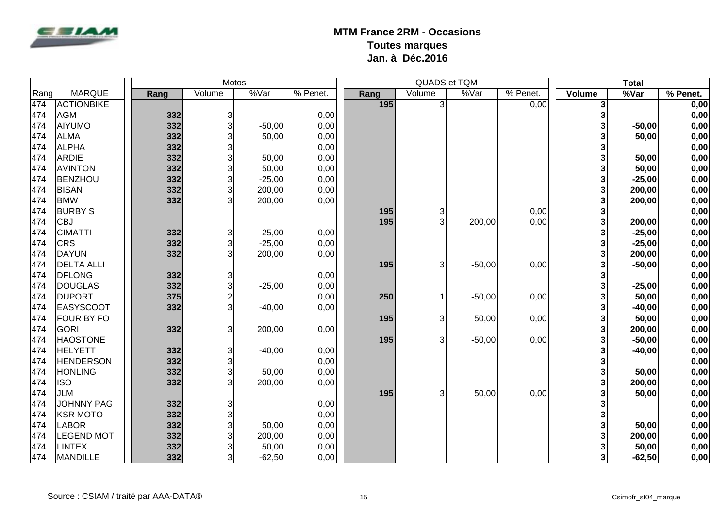

|      |                   |      | Motos                   |          |          |      | QUADS et TQM   |          | <b>Total</b> |        |          |          |
|------|-------------------|------|-------------------------|----------|----------|------|----------------|----------|--------------|--------|----------|----------|
| Rang | <b>MARQUE</b>     | Rang | Volume                  | %Var     | % Penet. | Rang | Volume         | %Var     | $%$ Penet.   | Volume | %Var     | % Penet. |
| 474  | <b>ACTIONBIKE</b> |      |                         |          |          | 195  | $\overline{3}$ |          | 0,00         | 3      |          | 0,00     |
| 474  | <b>AGM</b>        | 332  | 3                       |          | 0,00     |      |                |          |              | 3      |          | 0,00     |
| 474  | AIYUMO            | 332  | 3                       | $-50,00$ | 0,00     |      |                |          |              | 3      | $-50,00$ | 0,00     |
| 474  | <b>ALMA</b>       | 332  | 3                       | 50,00    | 0,00     |      |                |          |              | 3      | 50,00    | 0,00     |
| 474  | <b>ALPHA</b>      | 332  | 3                       |          | 0,00     |      |                |          |              | 3      |          | 0,00     |
| 474  | <b>ARDIE</b>      | 332  | 3                       | 50,00    | 0,00     |      |                |          |              | 3      | 50,00    | 0,00     |
| 474  | <b>AVINTON</b>    | 332  | 3                       | 50,00    | 0,00     |      |                |          |              | 3      | 50,00    | 0,00     |
| 474  | BENZHOU           | 332  | 3                       | $-25,00$ | 0,00     |      |                |          |              | 3      | $-25,00$ | 0,00     |
| 474  | <b>BISAN</b>      | 332  | 3                       | 200,00   | 0,00     |      |                |          |              | 3      | 200,00   | 0,00     |
| 474  | <b>BMW</b>        | 332  | 3                       | 200,00   | 0,00     |      |                |          |              | 3      | 200,00   | 0,00     |
| 474  | <b>BURBY S</b>    |      |                         |          |          | 195  | $\overline{3}$ |          | 0,00         | 3      |          | 0,00     |
| 474  | <b>CBJ</b>        |      |                         |          |          | 195  | 3              | 200,00   | 0,00         | 3      | 200,00   | 0,00     |
| 474  | <b>CIMATTI</b>    | 332  | $\mathbf{3}$            | $-25,00$ | 0,00     |      |                |          |              | 3      | $-25,00$ | 0,00     |
| 474  | <b>CRS</b>        | 332  | $\overline{3}$          | $-25,00$ | 0,00     |      |                |          |              | 3      | $-25,00$ | 0,00     |
| 474  | DAYUN             | 332  | 3                       | 200,00   | 0,00     |      |                |          |              | 3      | 200,00   | 0,00     |
| 474  | <b>DELTA ALLI</b> |      |                         |          |          | 195  | 3              | $-50,00$ | 0,00         | 3      | $-50,00$ | 0,00     |
| 474  | <b>DFLONG</b>     | 332  | 3                       |          | 0,00     |      |                |          |              | 3      |          | 0,00     |
| 474  | <b>DOUGLAS</b>    | 332  | $\mathbf{3}$            | $-25,00$ | 0,00     |      |                |          |              | 3      | $-25,00$ | 0,00     |
| 474  | <b>DUPORT</b>     | 375  | $\overline{\mathbf{c}}$ |          | 0,00     | 250  |                | $-50,00$ | 0,00         | 3      | 50,00    | 0,00     |
| 474  | <b>EASYSCOOT</b>  | 332  | 3                       | $-40,00$ | 0,00     |      |                |          |              | 3      | $-40,00$ | 0,00     |
| 474  | <b>FOUR BY FO</b> |      |                         |          |          | 195  | $\overline{3}$ | 50,00    | 0,00         | 3      | 50,00    | 0,00     |
| 474  | <b>GORI</b>       | 332  | $\overline{3}$          | 200,00   | 0,00     |      |                |          |              | 3      | 200,00   | 0,00     |
| 474  | <b>HAOSTONE</b>   |      |                         |          |          | 195  | $\overline{3}$ | $-50,00$ | 0,00         | 3      | $-50,00$ | 0,00     |
| 474  | <b>HELYETT</b>    | 332  | $\mathbf{3}$            | $-40,00$ | 0,00     |      |                |          |              | 3      | $-40,00$ | 0,00     |
| 474  | <b>HENDERSON</b>  | 332  | $\overline{3}$          |          | 0,00     |      |                |          |              | 3      |          | 0,00     |
| 474  | <b>HONLING</b>    | 332  | $\overline{3}$          | 50,00    | 0,00     |      |                |          |              | 3      | 50,00    | 0,00     |
| 474  | <b>ISO</b>        | 332  | 3                       | 200,00   | 0,00     |      |                |          |              | 3      | 200,00   | 0,00     |
| 474  | <b>JLM</b>        |      |                         |          |          | 195  | $\overline{3}$ | 50,00    | 0,00         | 3      | 50,00    | 0,00     |
| 474  | <b>JOHNNY PAG</b> | 332  | 3                       |          | 0,00     |      |                |          |              | 3      |          | 0,00     |
| 474  | <b>KSR MOTO</b>   | 332  | $\overline{3}$          |          | 0,00     |      |                |          |              | 3      |          | 0,00     |
| 474  | <b>LABOR</b>      | 332  | 3                       | 50,00    | 0,00     |      |                |          |              | 3      | 50,00    | 0,00     |
| 474  | <b>LEGEND MOT</b> | 332  | 3                       | 200,00   | 0,00     |      |                |          |              | 3      | 200,00   | 0,00     |
| 474  | <b>LINTEX</b>     | 332  | $\overline{3}$          | 50,00    | 0,00     |      |                |          |              |        | 50,00    | 0,00     |
| 474  | <b>MANDILLE</b>   | 332  | $\overline{3}$          | $-62,50$ | 0,00     |      |                |          |              | 3      | $-62,50$ | 0,00     |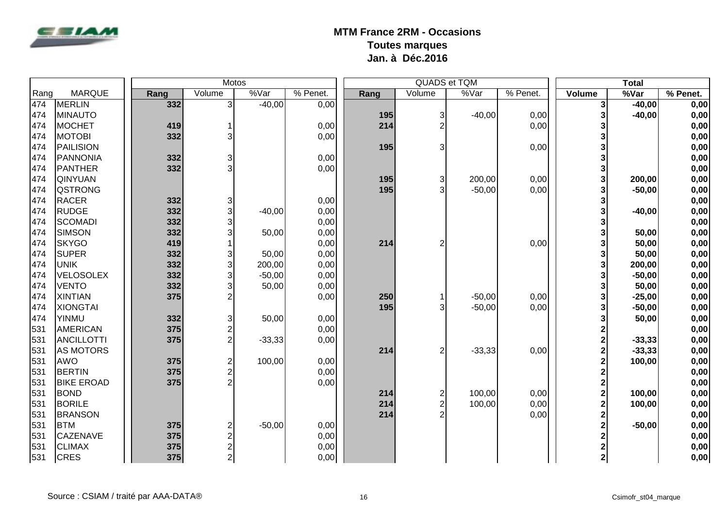

|      |                   |      |        | Motos                              |          |      |                | QUADS et TQM |          |                         | <b>Total</b> |          |
|------|-------------------|------|--------|------------------------------------|----------|------|----------------|--------------|----------|-------------------------|--------------|----------|
| Rang | <b>MARQUE</b>     | Rang | Volume | %Var                               | % Penet. | Rang | Volume         | %Var         | % Penet. | Volume                  | %Var         | % Penet. |
| 474  | MERLIN            |      | 332    | دى<br>$-40,00$                     | 0,00     |      |                |              |          | 3                       | $-40,00$     | 0,00     |
| 474  | MINAUTO           |      |        |                                    |          | 195  | $\overline{3}$ | $-40,00$     | 0,00     | 3                       | $-40,00$     | 0,00     |
| 474  | <b>MOCHET</b>     |      | 419    | 1                                  | 0,00     | 214  |                |              | 0,00     | 3                       |              | 0,00     |
| 474  | <b>MOTOBI</b>     |      | 332    | 3                                  | 0,00     |      |                |              |          | 3                       |              | 0,00     |
| 474  | PAILISION         |      |        |                                    |          | 195  |                |              | 0,00     | 3                       |              | 0,00     |
| 474  | PANNONIA          |      | 332    | $\sqrt{3}$                         | 0,00     |      |                |              |          | 3                       |              | 0,00     |
| 474  | <b>PANTHER</b>    |      | 332    | 3                                  | 0,00     |      |                |              |          | 3                       |              | 0,00     |
| 474  | <b>QINYUAN</b>    |      |        |                                    |          | 195  | 3              | 200,00       | 0,00     | 3                       | 200,00       | 0,00     |
| 474  | <b>QSTRONG</b>    |      |        |                                    |          | 195  | 3              | $-50,00$     | 0,00     | 3                       | $-50,00$     | 0,00     |
| 474  | <b>RACER</b>      |      | 332    | $\ensuremath{\mathsf{3}}$          | 0,00     |      |                |              |          | 3                       |              | 0,00     |
| 474  | <b>RUDGE</b>      |      | 332    | 3 <sup>1</sup><br>$-40,00$         | 0,00     |      |                |              |          | 3                       | $-40,00$     | 0,00     |
| 474  | SCOMADI           |      | 332    | $\mathbf{3}$                       | 0,00     |      |                |              |          | 3                       |              | 0,00     |
| 474  | SIMSON            |      | 332    | 3<br>50,00                         | 0,00     |      |                |              |          | 3                       | 50,00        | 0,00     |
| 474  | <b>SKYGO</b>      |      | 419    |                                    | 0,00     | 214  | 2              |              | 0,00     | 3                       | 50,00        | 0,00     |
| 474  | <b>SUPER</b>      |      | 332    | 3<br>50,00                         | 0,00     |      |                |              |          | 3                       | 50,00        | 0,00     |
| 474  | <b>UNIK</b>       |      | 332    | 3<br>200,00                        | 0,00     |      |                |              |          | 3                       | 200,00       | 0,00     |
| 474  | <b>VELOSOLEX</b>  |      | 332    | 3<br>$-50,00$                      | 0,00     |      |                |              |          | 3                       | $-50,00$     | 0,00     |
| 474  | <b>VENTO</b>      |      | 332    | 3<br>50,00                         | 0,00     |      |                |              |          | 3                       | 50,00        | 0,00     |
| 474  | <b>XINTIAN</b>    |      | 375    | $\overline{2}$                     | 0,00     | 250  |                | $-50,00$     | 0,00     | 3                       | $-25,00$     | 0,00     |
| 474  | <b>XIONGTAI</b>   |      |        |                                    |          | 195  | 3              | $-50,00$     | 0,00     | 3                       | $-50,00$     | 0,00     |
| 474  | YINMU             |      | 332    | $\ensuremath{\mathsf{3}}$<br>50,00 | 0,00     |      |                |              |          | 3                       | 50,00        | 0,00     |
| 531  | <b>AMERICAN</b>   |      | 375    | $\overline{\mathbf{c}}$            | 0,00     |      |                |              |          | 2                       |              | 0,00     |
| 531  | ANCILLOTTI        |      | 375    | $\overline{2}$<br>$-33,33$         | 0,00     |      |                |              |          | $\overline{2}$          | $-33,33$     | 0,00     |
| 531  | AS MOTORS         |      |        |                                    |          | 214  | $\overline{2}$ | $-33,33$     | 0,00     | $\overline{\mathbf{c}}$ | $-33,33$     | 0,00     |
| 531  | AWO               |      | 375    | $\overline{c}$<br>100,00           | 0,00     |      |                |              |          | $\overline{2}$          | 100,00       | 0,00     |
| 531  | <b>BERTIN</b>     |      | 375    | $\overline{c}$                     | 0,00     |      |                |              |          | $\overline{\mathbf{c}}$ |              | 0,00     |
| 531  | <b>BIKE EROAD</b> |      | 375    | $\overline{2}$                     | 0,00     |      |                |              |          | $\overline{\mathbf{c}}$ |              | 0,00     |
| 531  | <b>BOND</b>       |      |        |                                    |          | 214  | 2              | 100,00       | 0,00     | $\overline{\mathbf{c}}$ | 100,00       | 0,00     |
| 531  | <b>BORILE</b>     |      |        |                                    |          | 214  | $\overline{2}$ | 100,00       | 0,00     | $\overline{2}$          | 100,00       | 0,00     |
| 531  | <b>BRANSON</b>    |      |        |                                    |          | 214  | 2              |              | 0,00     | $\overline{2}$          |              | 0,00     |
| 531  | <b>BTM</b>        |      | 375    | $\boldsymbol{2}$<br>$-50,00$       | 0,00     |      |                |              |          | $\overline{2}$          | $-50,00$     | 0,00     |
| 531  | <b>CAZENAVE</b>   |      | 375    | $\overline{\mathbf{c}}$            | 0,00     |      |                |              |          | $\overline{2}$          |              | 0,00     |
| 531  | <b>CLIMAX</b>     |      | 375    | $\overline{c}$                     | 0,00     |      |                |              |          | $\overline{2}$          |              | 0,00     |
| 531  | <b>CRES</b>       |      | 375    | $\overline{2}$                     | 0,00     |      |                |              |          | $\overline{\mathbf{2}}$ |              | 0,00     |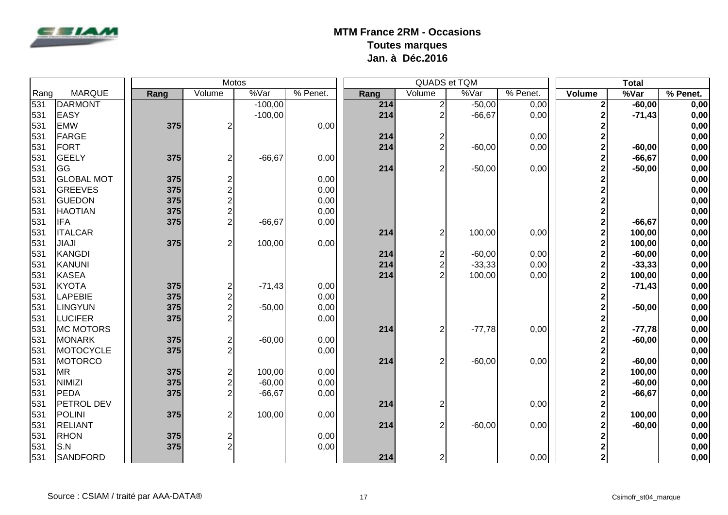

|      |                   |  | <b>Motos</b> |                         |           |          |  |      | QUADS et TQM            |          |          | <b>Total</b>            |           |          |  |
|------|-------------------|--|--------------|-------------------------|-----------|----------|--|------|-------------------------|----------|----------|-------------------------|-----------|----------|--|
| Rang | <b>MARQUE</b>     |  | Rang         | Volume                  | %Var      | % Penet. |  | Rang | Volume                  | %Var     | % Penet. | Volume                  | %Var      | % Penet. |  |
| 531  | DARMONT           |  |              |                         | $-100,00$ |          |  | 214  | $\mathbf{2}$            | $-50,00$ | 0,00     | 2                       | $-60,00$  | 0,00     |  |
| 531  | <b>EASY</b>       |  |              |                         | $-100,00$ |          |  | 214  | 2                       | $-66,67$ | 0,00     | $\overline{2}$          | $-71,43$  | 0,00     |  |
| 531  | <b>EMW</b>        |  | 375          | $\overline{2}$          |           | 0,00     |  |      |                         |          |          | $\overline{\mathbf{c}}$ |           | 0,00     |  |
| 531  | FARGE             |  |              |                         |           |          |  | 214  | 2                       |          | 0,00     | $\overline{\mathbf{c}}$ |           | 0,00     |  |
| 531  | <b>FORT</b>       |  |              |                         |           |          |  | 214  | $\overline{2}$          | $-60,00$ | 0,00     | $\mathbf 2$             | $-60,00$  | 0,00     |  |
| 531  | GEELY             |  | 375          | $\overline{c}$          | $-66,67$  | 0,00     |  |      |                         |          |          | $\overline{2}$          | $-66, 67$ | 0,00     |  |
| 531  | <b>I</b> GG       |  |              |                         |           |          |  | 214  | $\overline{2}$          | $-50,00$ | 0,00     | $\overline{2}$          | $-50,00$  | 0,00     |  |
| 531  | <b>GLOBAL MOT</b> |  | 375          | $\overline{\mathbf{c}}$ |           | 0,00     |  |      |                         |          |          | $\overline{\mathbf{c}}$ |           | 0,00     |  |
| 531  | GREEVES           |  | 375          | $\overline{c}$          |           | 0,00     |  |      |                         |          |          | $\overline{\mathbf{c}}$ |           | 0,00     |  |
| 531  | <b>GUEDON</b>     |  | 375          | $\overline{\mathbf{c}}$ |           | 0,00     |  |      |                         |          |          | $\overline{\mathbf{c}}$ |           | 0,00     |  |
| 531  | <b>HAOTIAN</b>    |  | 375          | $\overline{\mathbf{c}}$ |           | 0,00     |  |      |                         |          |          | $\overline{\mathbf{c}}$ |           | 0,00     |  |
| 531  | <b>IFA</b>        |  | 375          | $\overline{2}$          | $-66,67$  | 0,00     |  |      |                         |          |          | $\mathbf 2$             | $-66, 67$ | 0,00     |  |
| 531  | <b>ITALCAR</b>    |  |              |                         |           |          |  | 214  | $\overline{2}$          | 100,00   | 0,00     | $\overline{2}$          | 100,00    | 0,00     |  |
| 531  | JIAJI             |  | 375          | $\overline{\mathbf{c}}$ | 100,00    | 0,00     |  |      |                         |          |          | $\overline{2}$          | 100,00    | 0,00     |  |
| 531  | KANGDI            |  |              |                         |           |          |  | 214  | $\overline{\mathbf{c}}$ | $-60,00$ | 0,00     | $\overline{2}$          | $-60,00$  | 0,00     |  |
| 531  | KANUNI            |  |              |                         |           |          |  | 214  | $\overline{c}$          | $-33,33$ | 0,00     | $\overline{2}$          | $-33,33$  | 0,00     |  |
| 531  | KASEA             |  |              |                         |           |          |  | 214  | $\overline{2}$          | 100,00   | 0,00     | $\overline{2}$          | 100,00    | 0,00     |  |
| 531  | <b>KYOTA</b>      |  | 375          | $\overline{c}$          | $-71,43$  | 0,00     |  |      |                         |          |          | $\mathbf 2$             | $-71,43$  | 0,00     |  |
| 531  | <b>LAPEBIE</b>    |  | 375          |                         |           | 0,00     |  |      |                         |          |          | $\overline{\mathbf{c}}$ |           | 0,00     |  |
| 531  | <b>LINGYUN</b>    |  | 375          | $\frac{2}{2}$           | $-50,00$  | 0,00     |  |      |                         |          |          | $\overline{2}$          | $-50,00$  | 0,00     |  |
| 531  | <b>LUCIFER</b>    |  | 375          | $\overline{2}$          |           | 0,00     |  |      |                         |          |          | 2                       |           | 0,00     |  |
| 531  | MC MOTORS         |  |              |                         |           |          |  | 214  | $\overline{2}$          | $-77,78$ | 0,00     | $\overline{\mathbf{c}}$ | $-77,78$  | 0,00     |  |
| 531  | MONARK            |  | 375          | $\overline{\mathbf{c}}$ | $-60,00$  | 0,00     |  |      |                         |          |          | $\overline{2}$          | $-60,00$  | 0,00     |  |
| 531  | MOTOCYCLE         |  | 375          | $\overline{2}$          |           | 0,00     |  |      |                         |          |          | 2                       |           | 0,00     |  |
| 531  | <b>MOTORCO</b>    |  |              |                         |           |          |  | 214  | $\overline{2}$          | $-60,00$ | 0,00     | $\overline{2}$          | $-60,00$  | 0,00     |  |
| 531  | <b>MR</b>         |  | 375          | $\overline{\mathbf{c}}$ | 100,00    | 0,00     |  |      |                         |          |          | $\overline{2}$          | 100,00    | 0,00     |  |
| 531  | NIMIZI            |  | 375          | $\overline{c}$          | $-60,00$  | 0,00     |  |      |                         |          |          | $\overline{2}$          | $-60,00$  | 0,00     |  |
| 531  | PEDA              |  | 375          | $\overline{2}$          | $-66,67$  | 0,00     |  |      |                         |          |          | $\overline{2}$          | $-66, 67$ | 0,00     |  |
| 531  | <b>PETROL DEV</b> |  |              |                         |           |          |  | 214  |                         |          | 0,00     | $\overline{\mathbf{c}}$ |           | 0,00     |  |
| 531  | POLINI            |  | 375          | $\overline{c}$          | 100,00    | 0,00     |  |      |                         |          |          | $\overline{\mathbf{c}}$ | 100,00    | 0,00     |  |
| 531  | <b>RELIANT</b>    |  |              |                         |           |          |  | 214  | $\overline{2}$          | $-60,00$ | 0,00     | $\mathbf{2}$            | $-60,00$  | 0,00     |  |
| 531  | RHON              |  | 375          |                         |           | 0,00     |  |      |                         |          |          | $\overline{2}$          |           | 0,00     |  |
| 531  | S.N               |  | 375          | $\frac{2}{2}$           |           | 0,00     |  |      |                         |          |          | $\overline{\mathbf{c}}$ |           | 0,00     |  |
| 531  | <b>SANDFORD</b>   |  |              |                         |           |          |  | 214  | $\mathsf{2}\mathsf{l}$  |          | 0,00     | $\mathbf 2$             |           | 0,00     |  |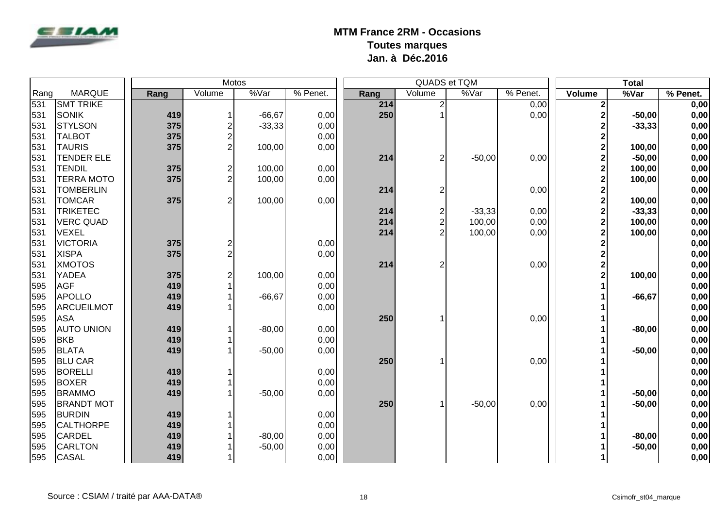

|      |                   |      |     |                         | <b>Motos</b> |          |      |                | QUADS et TQM | <b>Total</b> |                |           |            |
|------|-------------------|------|-----|-------------------------|--------------|----------|------|----------------|--------------|--------------|----------------|-----------|------------|
| Rang | <b>MARQUE</b>     | Rang |     | Volume                  | %Var         | % Penet. | Rang | Volume         | %Var         | $%$ Penet.   | Volume         | %Var      | $%$ Penet. |
| 531  | <b>SMT TRIKE</b>  |      |     |                         |              |          | 214  | $\overline{2}$ |              | 0,00         | 2              |           | 0,00       |
| 531  | <b>SONIK</b>      |      | 419 |                         | $-66,67$     | 0,00     | 250  |                |              | 0,00         | 2              | $-50,00$  | 0,00       |
| 531  | <b>STYLSON</b>    |      | 375 | 2                       | $-33,33$     | 0,00     |      |                |              |              | 2              | $-33,33$  | 0,00       |
| 531  | <b>TALBOT</b>     |      | 375 | $\overline{\mathbf{c}}$ |              | 0,00     |      |                |              |              | $\overline{2}$ |           | 0,00       |
| 531  | <b>TAURIS</b>     |      | 375 | $\overline{c}$          | 100,00       | 0,00     |      |                |              |              | $\overline{2}$ | 100,00    | 0,00       |
| 531  | <b>TENDER ELE</b> |      |     |                         |              |          | 214  | $\overline{2}$ | $-50,00$     | 0,00         | $\overline{2}$ | $-50,00$  | 0,00       |
| 531  | <b>TENDIL</b>     |      | 375 | $\overline{\mathbf{c}}$ | 100,00       | 0,00     |      |                |              |              | $\overline{2}$ | 100,00    | 0,00       |
| 531  | <b>TERRA MOTO</b> |      | 375 | $\overline{2}$          | 100,00       | 0,00     |      |                |              |              | $\overline{2}$ | 100,00    | 0,00       |
| 531  | <b>TOMBERLIN</b>  |      |     |                         |              |          | 214  |                |              | 0,00         | 2              |           | 0,00       |
| 531  | <b>TOMCAR</b>     |      | 375 | $\overline{2}$          | 100,00       | 0,00     |      |                |              |              | $\overline{2}$ | 100,00    | 0,00       |
| 531  | <b>TRIKETEC</b>   |      |     |                         |              |          | 214  | $\overline{c}$ | $-33,33$     | 0,00         | $\overline{2}$ | $-33,33$  | 0,00       |
| 531  | <b>VERC QUAD</b>  |      |     |                         |              |          | 214  | $\overline{c}$ | 100,00       | 0,00         | $\overline{2}$ | 100,00    | 0,00       |
| 531  | <b>VEXEL</b>      |      |     |                         |              |          | 214  |                | 100,00       | 0,00         | $\overline{2}$ | 100,00    | 0,00       |
| 531  | <b>VICTORIA</b>   |      | 375 | 2                       |              | 0,00     |      |                |              |              | $\overline{2}$ |           | 0,00       |
| 531  | <b>XISPA</b>      |      | 375 | $\overline{c}$          |              | 0,00     |      |                |              |              | 2              |           | 0,00       |
| 531  | <b>XMOTOS</b>     |      |     |                         |              |          | 214  | $\overline{2}$ |              | 0,00         | 2              |           | 0,00       |
| 531  | <b>YADEA</b>      |      | 375 | $\overline{c}$          | 100,00       | 0,00     |      |                |              |              | $\overline{2}$ | 100,00    | 0,00       |
| 595  | <b>AGF</b>        |      | 419 |                         |              | 0,00     |      |                |              |              |                |           | 0,00       |
| 595  | APOLLO            |      | 419 |                         | $-66,67$     | 0,00     |      |                |              |              |                | $-66, 67$ | 0,00       |
| 595  | ARCUEILMOT        |      | 419 |                         |              | 0,00     |      |                |              |              |                |           | 0,00       |
| 595  | <b>ASA</b>        |      |     |                         |              |          | 250  |                |              | 0,00         |                |           | 0,00       |
| 595  | <b>AUTO UNION</b> |      | 419 |                         | $-80,00$     | 0,00     |      |                |              |              |                | $-80,00$  | 0,00       |
| 595  | <b>BKB</b>        |      | 419 |                         |              | 0,00     |      |                |              |              |                |           | 0,00       |
| 595  | <b>BLATA</b>      |      | 419 |                         | $-50,00$     | 0,00     |      |                |              |              |                | $-50,00$  | 0,00       |
| 595  | <b>BLU CAR</b>    |      |     |                         |              |          | 250  |                |              | 0,00         |                |           | 0,00       |
| 595  | BORELLI           |      | 419 |                         |              | 0,00     |      |                |              |              |                |           | 0,00       |
| 595  | <b>BOXER</b>      |      | 419 |                         |              | 0,00     |      |                |              |              |                |           | 0,00       |
| 595  | <b>BRAMMO</b>     |      | 419 |                         | $-50,00$     | 0,00     |      |                |              |              |                | $-50,00$  | 0,00       |
| 595  | <b>BRANDT MOT</b> |      |     |                         |              |          | 250  |                | $-50,00$     | 0,00         |                | $-50,00$  | 0,00       |
| 595  | <b>BURDIN</b>     |      | 419 |                         |              | 0,00     |      |                |              |              |                |           | 0,00       |
| 595  | <b>CALTHORPE</b>  |      | 419 |                         |              | 0,00     |      |                |              |              |                |           | 0,00       |
| 595  | <b>CARDEL</b>     |      | 419 |                         | $-80,00$     | 0,00     |      |                |              |              |                | $-80,00$  | 0,00       |
| 595  | <b>CARLTON</b>    |      | 419 |                         | $-50,00$     | 0,00     |      |                |              |              |                | $-50,00$  | 0,00       |
| 595  | <b>CASAL</b>      |      | 419 | $\mathbf{1}$            |              | 0,00     |      |                |              |              | 1              |           | 0,00       |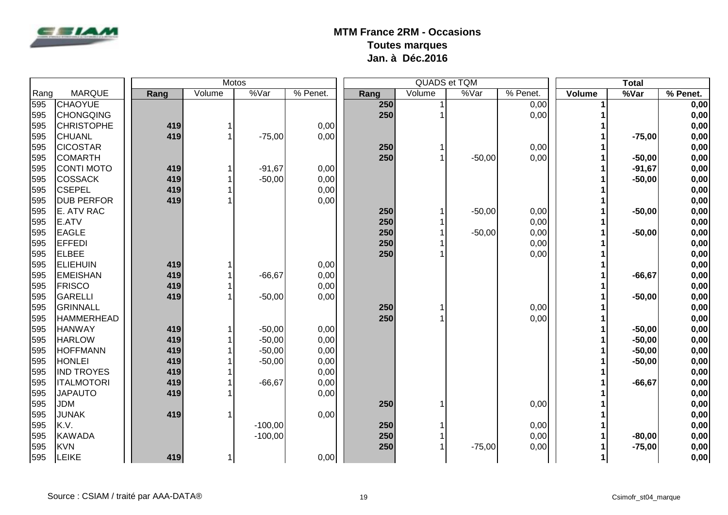

|      | Motos             |  |      |        |                       | QUADS et TQM |      |        |          |          | <b>Total</b> |           |            |
|------|-------------------|--|------|--------|-----------------------|--------------|------|--------|----------|----------|--------------|-----------|------------|
| Rang | <b>MARQUE</b>     |  | Rang | Volume | $\sqrt[6]{\sqrt{ar}}$ | % Penet.     | Rang | Volume | %Var     | % Penet. | Volume       | %Var      | $%$ Penet. |
| 595  | <b>CHAOYUE</b>    |  |      |        |                       |              | 250  |        |          | 0,00     |              |           | 0,00       |
| 595  | <b>CHONGQING</b>  |  |      |        |                       |              | 250  |        |          | 0,00     |              |           | 0,00       |
| 595  | <b>CHRISTOPHE</b> |  | 419  |        |                       | 0,00         |      |        |          |          |              |           | 0,00       |
| 595  | <b>CHUANL</b>     |  | 419  | 1      | $-75,00$              | 0,00         |      |        |          |          |              | $-75,00$  | 0,00       |
| 595  | <b>CICOSTAR</b>   |  |      |        |                       |              | 250  |        |          | 0,00     |              |           | 0,00       |
| 595  | <b>COMARTH</b>    |  |      |        |                       |              | 250  |        | $-50,00$ | 0,00     |              | $-50,00$  | 0,00       |
| 595  | <b>CONTI MOTO</b> |  | 419  |        | $-91,67$              | 0,00         |      |        |          |          |              | $-91,67$  | 0,00       |
| 595  | <b>COSSACK</b>    |  | 419  |        | $-50,00$              | 0,00         |      |        |          |          |              | $-50,00$  | 0,00       |
| 595  | <b>CSEPEL</b>     |  | 419  |        |                       | 0,00         |      |        |          |          |              |           | 0,00       |
| 595  | <b>DUB PERFOR</b> |  | 419  |        |                       | 0,00         |      |        |          |          |              |           | 0,00       |
| 595  | E. ATV RAC        |  |      |        |                       |              | 250  |        | $-50,00$ | 0,00     |              | $-50,00$  | 0,00       |
| 595  | <b>E.ATV</b>      |  |      |        |                       |              | 250  |        |          | 0,00     |              |           | 0,00       |
| 595  | <b>EAGLE</b>      |  |      |        |                       |              | 250  |        | $-50,00$ | 0,00     |              | $-50,00$  | 0,00       |
| 595  | <b>EFFEDI</b>     |  |      |        |                       |              | 250  |        |          | 0,00     |              |           | 0,00       |
| 595  | <b>ELBEE</b>      |  |      |        |                       |              | 250  |        |          | 0,00     |              |           | 0,00       |
| 595  | <b>ELIEHUIN</b>   |  | 419  |        |                       | 0,00         |      |        |          |          |              |           | 0,00       |
| 595  | <b>EMEISHAN</b>   |  | 419  |        | $-66,67$              | 0,00         |      |        |          |          |              | $-66, 67$ | 0,00       |
| 595  | <b>FRISCO</b>     |  | 419  |        |                       | 0,00         |      |        |          |          |              |           | 0,00       |
| 595  | GARELLI           |  | 419  |        | $-50,00$              | 0,00         |      |        |          |          |              | $-50,00$  | 0,00       |
| 595  | GRINNALL          |  |      |        |                       |              | 250  |        |          | 0,00     |              |           | 0,00       |
| 595  | <b>HAMMERHEAD</b> |  |      |        |                       |              | 250  |        |          | 0,00     |              |           | 0,00       |
| 595  | <b>HANWAY</b>     |  | 419  |        | $-50,00$              | 0,00         |      |        |          |          |              | $-50,00$  | 0,00       |
| 595  | <b>HARLOW</b>     |  | 419  |        | $-50,00$              | 0,00         |      |        |          |          |              | $-50,00$  | 0,00       |
| 595  | <b>HOFFMANN</b>   |  | 419  |        | $-50,00$              | 0,00         |      |        |          |          |              | $-50,00$  | 0,00       |
| 595  | <b>HONLEI</b>     |  | 419  |        | $-50,00$              | 0,00         |      |        |          |          |              | $-50,00$  | 0,00       |
| 595  | <b>IND TROYES</b> |  | 419  |        |                       | 0,00         |      |        |          |          |              |           | 0,00       |
| 595  | <b>ITALMOTORI</b> |  | 419  |        | $-66,67$              | 0,00         |      |        |          |          |              | $-66, 67$ | 0,00       |
| 595  | <b>JAPAUTO</b>    |  | 419  |        |                       | 0,00         |      |        |          |          |              |           | 0,00       |
| 595  | <b>JDM</b>        |  |      |        |                       |              | 250  |        |          | 0,00     |              |           | 0,00       |
| 595  | <b>JUNAK</b>      |  | 419  |        |                       | 0,00         |      |        |          |          |              |           | 0,00       |
| 595  | K.V.              |  |      |        | $-100,00$             |              | 250  |        |          | 0,00     |              |           | 0,00       |
| 595  | KAWADA            |  |      |        | $-100,00$             |              | 250  |        |          | 0,00     |              | $-80,00$  | 0,00       |
| 595  | KVN               |  |      |        |                       |              | 250  |        | $-75,00$ | 0,00     |              | $-75,00$  | 0,00       |
| 595  | LEIKE             |  | 419  | 1      |                       | 0,00         |      |        |          |          | 1            |           | 0,00       |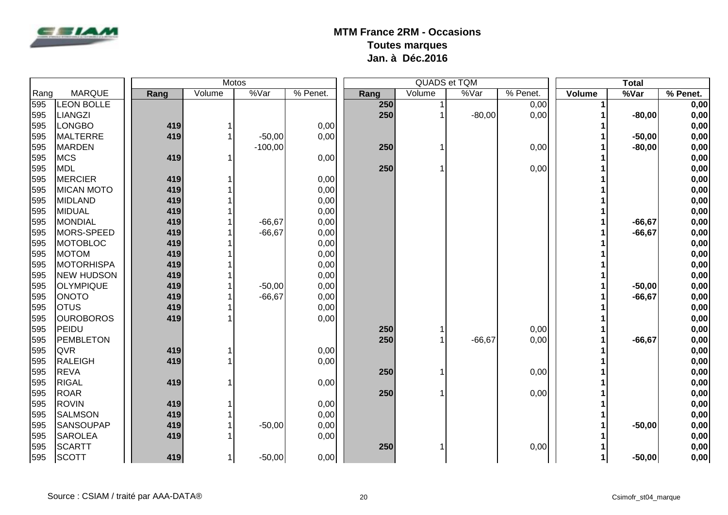

|      |                   | <b>Motos</b> |      |              |           |          |      |        | QUADS et TQM | <b>Total</b>           |        |           |            |
|------|-------------------|--------------|------|--------------|-----------|----------|------|--------|--------------|------------------------|--------|-----------|------------|
| Rang | <b>MARQUE</b>     |              | Rang | Volume       | %Var      | % Penet. | Rang | Volume | %Var         | $\overline{\%}$ Penet. | Volume | %Var      | $%$ Penet. |
| 595  | <b>LEON BOLLE</b> |              |      |              |           |          | 250  |        |              | 0,00                   | 1      |           | 0,00       |
| 595  | LIANGZI           |              |      |              |           |          | 250  |        | $-80,00$     | 0,00                   |        | $-80,00$  | 0,00       |
| 595  | <b>LONGBO</b>     |              | 419  |              |           | 0,00     |      |        |              |                        |        |           | 0,00       |
| 595  | MALTERRE          |              | 419  |              | $-50,00$  | 0,00     |      |        |              |                        |        | $-50,00$  | 0,00       |
| 595  | <b>MARDEN</b>     |              |      |              | $-100,00$ |          | 250  |        |              | 0,00                   |        | $-80,00$  | 0,00       |
| 595  | <b>MCS</b>        |              | 419  | -1           |           | 0,00     |      |        |              |                        |        |           | 0,00       |
| 595  | MDL               |              |      |              |           |          | 250  |        |              | 0,00                   |        |           | 0,00       |
| 595  | MERCIER           |              | 419  |              |           | 0,00     |      |        |              |                        |        |           | 0,00       |
| 595  | <b>MICAN MOTO</b> |              | 419  |              |           | 0,00     |      |        |              |                        |        |           | 0,00       |
| 595  | MIDLAND           |              | 419  |              |           | 0,00     |      |        |              |                        |        |           | 0,00       |
| 595  | MIDUAL            |              | 419  |              |           | 0,00     |      |        |              |                        |        |           | 0,00       |
| 595  | MONDIAL           |              | 419  |              | $-66,67$  | 0,00     |      |        |              |                        |        | $-66, 67$ | 0,00       |
| 595  | MORS-SPEED        |              | 419  |              | $-66,67$  | 0,00     |      |        |              |                        |        | $-66, 67$ | 0,00       |
| 595  | MOTOBLOC          |              | 419  |              |           | 0,00     |      |        |              |                        |        |           | 0,00       |
| 595  | <b>MOTOM</b>      |              | 419  |              |           | 0,00     |      |        |              |                        |        |           | 0,00       |
| 595  | <b>MOTORHISPA</b> |              | 419  |              |           | 0,00     |      |        |              |                        |        |           | 0,00       |
| 595  | <b>NEW HUDSON</b> |              | 419  |              |           | 0,00     |      |        |              |                        |        |           | 0,00       |
| 595  | <b>OLYMPIQUE</b>  |              | 419  |              | $-50,00$  | 0,00     |      |        |              |                        |        | $-50,00$  | 0,00       |
| 595  | <b>ONOTO</b>      |              | 419  |              | $-66,67$  | 0,00     |      |        |              |                        |        | $-66, 67$ | 0,00       |
| 595  | <b>OTUS</b>       |              | 419  |              |           | 0,00     |      |        |              |                        |        |           | 0,00       |
| 595  | <b>OUROBOROS</b>  |              | 419  |              |           | 0,00     |      |        |              |                        |        |           | 0,00       |
| 595  | PEIDU             |              |      |              |           |          | 250  |        |              | 0,00                   |        |           | 0,00       |
| 595  | PEMBLETON         |              |      |              |           |          | 250  |        | $-66,67$     | 0,00                   |        | $-66, 67$ | 0,00       |
| 595  | <b>QVR</b>        |              | 419  |              |           | 0,00     |      |        |              |                        |        |           | 0,00       |
| 595  | RALEIGH           |              | 419  |              |           | 0,00     |      |        |              |                        |        |           | 0,00       |
| 595  | <b>REVA</b>       |              |      |              |           |          | 250  |        |              | 0,00                   |        |           | 0,00       |
| 595  | <b>RIGAL</b>      |              | 419  |              |           | 0,00     |      |        |              |                        |        |           | 0,00       |
| 595  | <b>ROAR</b>       |              |      |              |           |          | 250  |        |              | 0,00                   |        |           | 0,00       |
| 595  | <b>ROVIN</b>      |              | 419  |              |           | 0,00     |      |        |              |                        |        |           | 0,00       |
| 595  | <b>SALMSON</b>    |              | 419  |              |           | 0,00     |      |        |              |                        |        |           | 0,00       |
| 595  | <b>SANSOUPAP</b>  |              | 419  |              | $-50,00$  | 0,00     |      |        |              |                        |        | $-50,00$  | 0,00       |
| 595  | <b>SAROLEA</b>    |              | 419  |              |           | 0,00     |      |        |              |                        |        |           | 0,00       |
| 595  | <b>SCARTT</b>     |              |      |              |           |          | 250  |        |              | 0,00                   |        |           | 0,00       |
| 595  | SCOTT             |              | 419  | $\mathbf{1}$ | $-50,00$  | 0,00     |      |        |              |                        | 1      | $-50,00$  | 0,00       |